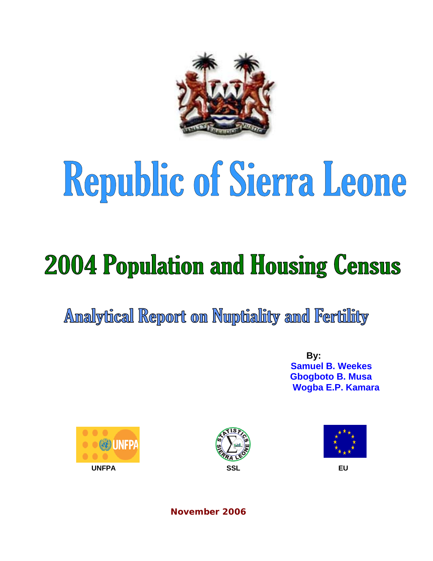

# Republic of Sierra Leone

## **2004 Population and Housing Census**

Analytical Report on Nuptiality and Fertility

 **By: Samuel B. Weekes Gbogboto B. Musa Wogba E.P. Kamara** 







**November 2006**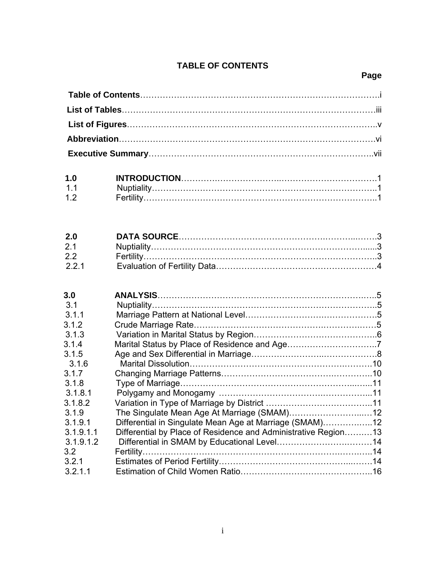#### **TABLE OF CONTENTS**

### **Page**

| 1.0            |  |
|----------------|--|
| 1 <sub>1</sub> |  |
| 12             |  |

| 2.0   |  |
|-------|--|
| 2.1   |  |
| 2.2   |  |
| 2.2.1 |  |

| 3.0           |                                                                |  |
|---------------|----------------------------------------------------------------|--|
| 3.1           |                                                                |  |
| 3.1.1         |                                                                |  |
| 3.1.2         |                                                                |  |
| 3.1.3         |                                                                |  |
| 3.1.4         |                                                                |  |
| 3.1.5         |                                                                |  |
| 3.1.6         |                                                                |  |
| 3.1.7         |                                                                |  |
| 3.1.8         |                                                                |  |
| 3.1.8.1       |                                                                |  |
| 3.1.8.2       |                                                                |  |
| 3.1.9         |                                                                |  |
| 3.1.9.1       | Differential in Singulate Mean Age at Marriage (SMAM)12        |  |
| 3.1.9.1.1     | Differential by Place of Residence and Administrative Region13 |  |
| 3.1.9.1.2     |                                                                |  |
| $3.2^{\circ}$ |                                                                |  |
| 3.2.1         |                                                                |  |
| 3.2.1.1       |                                                                |  |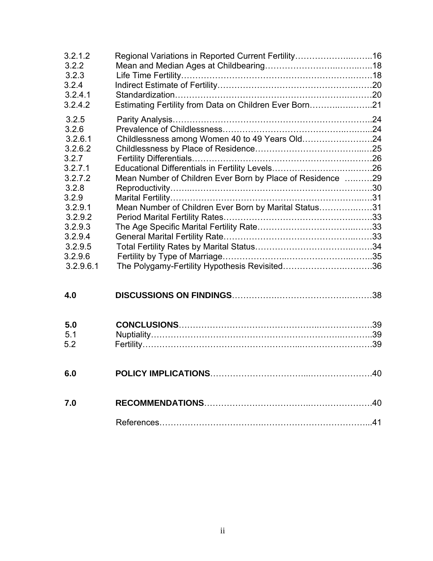| 3.2.1.2<br>3.2.2 | Regional Variations in Reported Current Fertility16        |  |
|------------------|------------------------------------------------------------|--|
| 3.2.3            |                                                            |  |
| 3.2.4            |                                                            |  |
| 3.2.4.1          |                                                            |  |
| 3.2.4.2          | Estimating Fertility from Data on Children Ever Born21     |  |
| 3.2.5            |                                                            |  |
| 3.2.6            |                                                            |  |
| 3.2.6.1          | Childlessness among Women 40 to 49 Years Old24             |  |
| 3.2.6.2          |                                                            |  |
| 3.2.7            |                                                            |  |
| 3.2.7.1          |                                                            |  |
| 3.2.7.2          | Mean Number of Children Ever Born by Place of Residence 29 |  |
| 3.2.8            |                                                            |  |
| 3.2.9            |                                                            |  |
| 3.2.9.1          | Mean Number of Children Ever Born by Marital Status31      |  |
| 3.2.9.2          |                                                            |  |
| 3.2.9.3          |                                                            |  |
| 3.2.9.4          |                                                            |  |
| 3.2.9.5          |                                                            |  |
| 3.2.9.6          |                                                            |  |
| 3.2.9.6.1        |                                                            |  |
|                  |                                                            |  |
| 4.0              |                                                            |  |
|                  |                                                            |  |
| 5.0              |                                                            |  |
| 5.1              |                                                            |  |
| 5.2              |                                                            |  |
|                  |                                                            |  |
| 6.0              |                                                            |  |
| 7.0              |                                                            |  |
|                  |                                                            |  |
|                  |                                                            |  |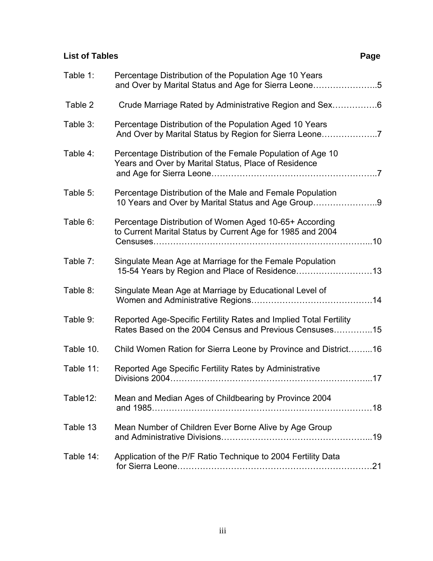#### **List of Tables** Page **Page 2014**

| Table 1:  | Percentage Distribution of the Population Age 10 Years<br>and Over by Marital Status and Age for Sierra Leone5              |
|-----------|-----------------------------------------------------------------------------------------------------------------------------|
| Table 2   | Crude Marriage Rated by Administrative Region and Sex6                                                                      |
| Table 3:  | Percentage Distribution of the Population Aged 10 Years<br>And Over by Marital Status by Region for Sierra Leone7           |
| Table 4:  | Percentage Distribution of the Female Population of Age 10<br>Years and Over by Marital Status, Place of Residence          |
| Table 5:  | Percentage Distribution of the Male and Female Population<br>10 Years and Over by Marital Status and Age Group9             |
| Table 6:  | Percentage Distribution of Women Aged 10-65+ According<br>to Current Marital Status by Current Age for 1985 and 2004        |
| Table 7:  | Singulate Mean Age at Marriage for the Female Population<br>15-54 Years by Region and Place of Residence13                  |
| Table 8:  | Singulate Mean Age at Marriage by Educational Level of                                                                      |
| Table 9:  | Reported Age-Specific Fertility Rates and Implied Total Fertility<br>Rates Based on the 2004 Census and Previous Censuses15 |
| Table 10. | Child Women Ration for Sierra Leone by Province and District16                                                              |
| Table 11: | Reported Age Specific Fertility Rates by Administrative                                                                     |
| Table12:  | Mean and Median Ages of Childbearing by Province 2004                                                                       |
| Table 13  | Mean Number of Children Ever Borne Alive by Age Group                                                                       |
| Table 14: | Application of the P/F Ratio Technique to 2004 Fertility Data                                                               |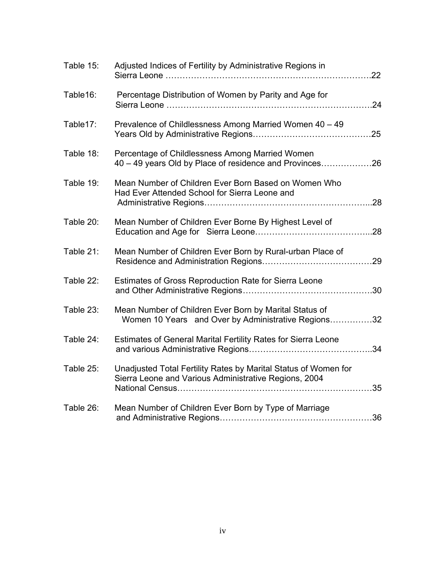| Table 15: | Adjusted Indices of Fertility by Administrative Regions in                                                               |     |
|-----------|--------------------------------------------------------------------------------------------------------------------------|-----|
| Table16:  | Percentage Distribution of Women by Parity and Age for                                                                   | 24  |
| Table17:  | Prevalence of Childlessness Among Married Women 40 - 49                                                                  |     |
| Table 18: | Percentage of Childlessness Among Married Women<br>40 – 49 years Old by Place of residence and Provinces26               |     |
| Table 19: | Mean Number of Children Ever Born Based on Women Who<br>Had Ever Attended School for Sierra Leone and                    |     |
| Table 20: | Mean Number of Children Ever Borne By Highest Level of                                                                   |     |
| Table 21: | Mean Number of Children Ever Born by Rural-urban Place of                                                                |     |
| Table 22: | Estimates of Gross Reproduction Rate for Sierra Leone                                                                    |     |
| Table 23: | Mean Number of Children Ever Born by Marital Status of<br>Women 10 Years and Over by Administrative Regions32            |     |
| Table 24: | Estimates of General Marital Fertility Rates for Sierra Leone                                                            | .34 |
| Table 25: | Unadjusted Total Fertility Rates by Marital Status of Women for<br>Sierra Leone and Various Administrative Regions, 2004 |     |
| Table 26: | Mean Number of Children Ever Born by Type of Marriage                                                                    |     |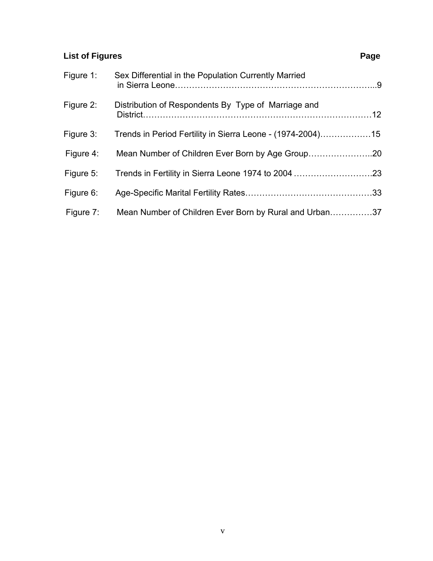### **List of Figures** Page **Page 2014**

| Figure 1: | Sex Differential in the Population Currently Married       |  |
|-----------|------------------------------------------------------------|--|
| Figure 2: | Distribution of Respondents By Type of Marriage and        |  |
| Figure 3: | Trends in Period Fertility in Sierra Leone - (1974-2004)15 |  |
| Figure 4: |                                                            |  |
| Figure 5: |                                                            |  |
| Figure 6: |                                                            |  |
| Figure 7: | Mean Number of Children Ever Born by Rural and Urban37     |  |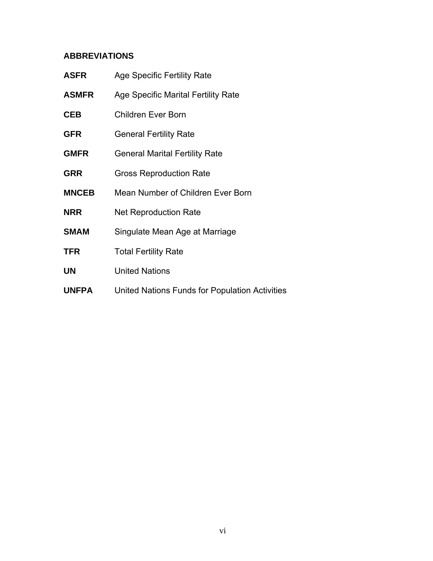#### **ABBREVIATIONS**

| <b>ASFR</b>  | <b>Age Specific Fertility Rate</b>             |
|--------------|------------------------------------------------|
| <b>ASMFR</b> | Age Specific Marital Fertility Rate            |
| <b>CEB</b>   | <b>Children Ever Born</b>                      |
| <b>GFR</b>   | <b>General Fertility Rate</b>                  |
| <b>GMFR</b>  | <b>General Marital Fertility Rate</b>          |
| <b>GRR</b>   | <b>Gross Reproduction Rate</b>                 |
| <b>MNCEB</b> | Mean Number of Children Ever Born              |
| <b>NRR</b>   | <b>Net Reproduction Rate</b>                   |
| <b>SMAM</b>  | Singulate Mean Age at Marriage                 |
| <b>TFR</b>   | <b>Total Fertility Rate</b>                    |
| <b>UN</b>    | <b>United Nations</b>                          |
| <b>UNFPA</b> | United Nations Funds for Population Activities |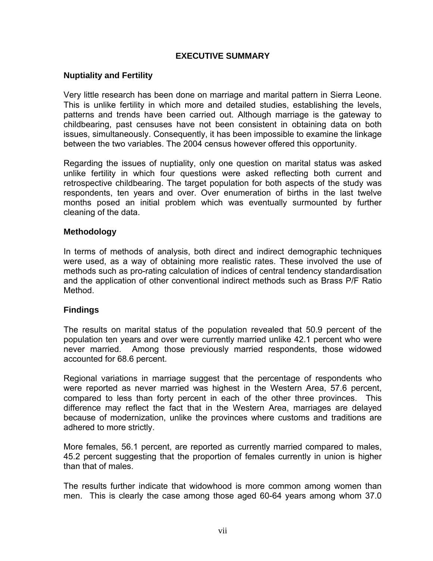#### **EXECUTIVE SUMMARY**

#### **Nuptiality and Fertility**

Very little research has been done on marriage and marital pattern in Sierra Leone. This is unlike fertility in which more and detailed studies, establishing the levels, patterns and trends have been carried out. Although marriage is the gateway to childbearing, past censuses have not been consistent in obtaining data on both issues, simultaneously. Consequently, it has been impossible to examine the linkage between the two variables. The 2004 census however offered this opportunity.

Regarding the issues of nuptiality, only one question on marital status was asked unlike fertility in which four questions were asked reflecting both current and retrospective childbearing. The target population for both aspects of the study was respondents, ten years and over. Over enumeration of births in the last twelve months posed an initial problem which was eventually surmounted by further cleaning of the data.

#### **Methodology**

In terms of methods of analysis, both direct and indirect demographic techniques were used, as a way of obtaining more realistic rates. These involved the use of methods such as pro-rating calculation of indices of central tendency standardisation and the application of other conventional indirect methods such as Brass P/F Ratio Method.

#### **Findings**

The results on marital status of the population revealed that 50.9 percent of the population ten years and over were currently married unlike 42.1 percent who were never married. Among those previously married respondents, those widowed accounted for 68.6 percent.

Regional variations in marriage suggest that the percentage of respondents who were reported as never married was highest in the Western Area, 57.6 percent, compared to less than forty percent in each of the other three provinces. This difference may reflect the fact that in the Western Area, marriages are delayed because of modernization, unlike the provinces where customs and traditions are adhered to more strictly.

More females, 56.1 percent, are reported as currently married compared to males, 45.2 percent suggesting that the proportion of females currently in union is higher than that of males.

The results further indicate that widowhood is more common among women than men. This is clearly the case among those aged 60-64 years among whom 37.0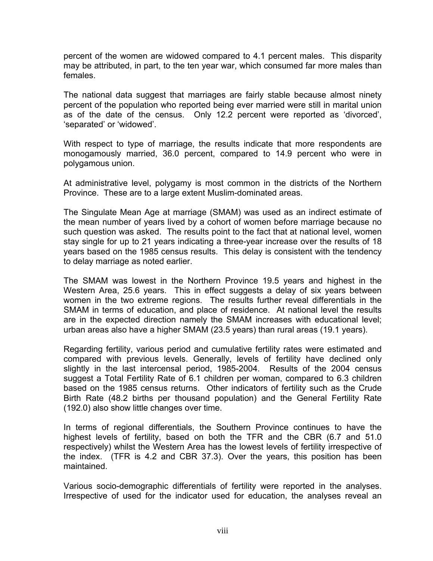percent of the women are widowed compared to 4.1 percent males. This disparity may be attributed, in part, to the ten year war, which consumed far more males than females.

The national data suggest that marriages are fairly stable because almost ninety percent of the population who reported being ever married were still in marital union as of the date of the census. Only 12.2 percent were reported as 'divorced', 'separated' or 'widowed'.

With respect to type of marriage, the results indicate that more respondents are monogamously married, 36.0 percent, compared to 14.9 percent who were in polygamous union.

At administrative level, polygamy is most common in the districts of the Northern Province. These are to a large extent Muslim-dominated areas.

The Singulate Mean Age at marriage (SMAM) was used as an indirect estimate of the mean number of years lived by a cohort of women before marriage because no such question was asked. The results point to the fact that at national level, women stay single for up to 21 years indicating a three-year increase over the results of 18 years based on the 1985 census results. This delay is consistent with the tendency to delay marriage as noted earlier.

The SMAM was lowest in the Northern Province 19.5 years and highest in the Western Area, 25.6 years. This in effect suggests a delay of six years between women in the two extreme regions. The results further reveal differentials in the SMAM in terms of education, and place of residence. At national level the results are in the expected direction namely the SMAM increases with educational level; urban areas also have a higher SMAM (23.5 years) than rural areas (19.1 years).

Regarding fertility, various period and cumulative fertility rates were estimated and compared with previous levels. Generally, levels of fertility have declined only slightly in the last intercensal period, 1985-2004. Results of the 2004 census suggest a Total Fertility Rate of 6.1 children per woman, compared to 6.3 children based on the 1985 census returns. Other indicators of fertility such as the Crude Birth Rate (48.2 births per thousand population) and the General Fertility Rate (192.0) also show little changes over time.

In terms of regional differentials, the Southern Province continues to have the highest levels of fertility, based on both the TFR and the CBR (6.7 and 51.0 respectively) whilst the Western Area has the lowest levels of fertility irrespective of the index. (TFR is 4.2 and CBR 37.3). Over the years, this position has been maintained.

Various socio-demographic differentials of fertility were reported in the analyses. Irrespective of used for the indicator used for education, the analyses reveal an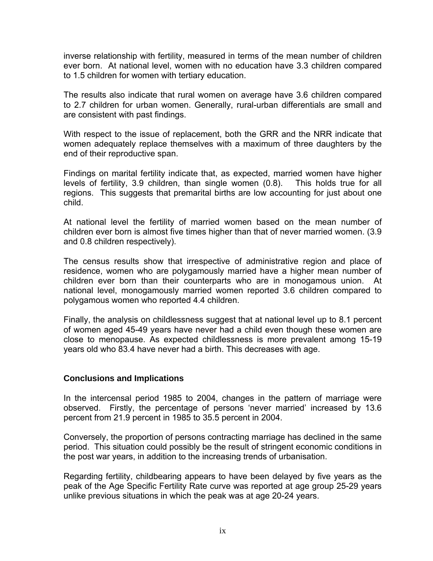inverse relationship with fertility, measured in terms of the mean number of children ever born. At national level, women with no education have 3.3 children compared to 1.5 children for women with tertiary education.

The results also indicate that rural women on average have 3.6 children compared to 2.7 children for urban women. Generally, rural-urban differentials are small and are consistent with past findings.

With respect to the issue of replacement, both the GRR and the NRR indicate that women adequately replace themselves with a maximum of three daughters by the end of their reproductive span.

Findings on marital fertility indicate that, as expected, married women have higher levels of fertility, 3.9 children, than single women (0.8). This holds true for all regions. This suggests that premarital births are low accounting for just about one child.

At national level the fertility of married women based on the mean number of children ever born is almost five times higher than that of never married women. (3.9 and 0.8 children respectively).

The census results show that irrespective of administrative region and place of residence, women who are polygamously married have a higher mean number of children ever born than their counterparts who are in monogamous union. At national level, monogamously married women reported 3.6 children compared to polygamous women who reported 4.4 children.

Finally, the analysis on childlessness suggest that at national level up to 8.1 percent of women aged 45-49 years have never had a child even though these women are close to menopause. As expected childlessness is more prevalent among 15-19 years old who 83.4 have never had a birth. This decreases with age.

#### **Conclusions and Implications**

In the intercensal period 1985 to 2004, changes in the pattern of marriage were observed. Firstly, the percentage of persons 'never married' increased by 13.6 percent from 21.9 percent in 1985 to 35.5 percent in 2004.

Conversely, the proportion of persons contracting marriage has declined in the same period. This situation could possibly be the result of stringent economic conditions in the post war years, in addition to the increasing trends of urbanisation.

Regarding fertility, childbearing appears to have been delayed by five years as the peak of the Age Specific Fertility Rate curve was reported at age group 25-29 years unlike previous situations in which the peak was at age 20-24 years.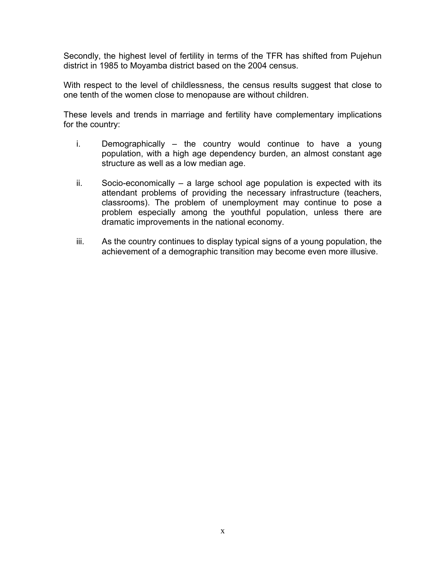Secondly, the highest level of fertility in terms of the TFR has shifted from Pujehun district in 1985 to Moyamba district based on the 2004 census.

With respect to the level of childlessness, the census results suggest that close to one tenth of the women close to menopause are without children.

These levels and trends in marriage and fertility have complementary implications for the country:

- i. Demographically the country would continue to have a young population, with a high age dependency burden, an almost constant age structure as well as a low median age.
- ii. Socio-economically a large school age population is expected with its attendant problems of providing the necessary infrastructure (teachers, classrooms). The problem of unemployment may continue to pose a problem especially among the youthful population, unless there are dramatic improvements in the national economy.
- iii. As the country continues to display typical signs of a young population, the achievement of a demographic transition may become even more illusive.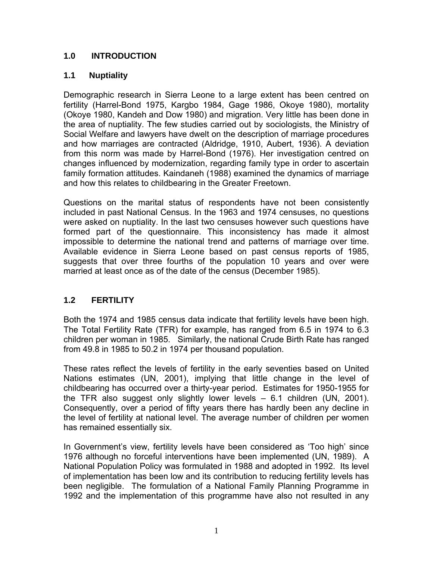#### **1.0 INTRODUCTION**

#### **1.1 Nuptiality**

Demographic research in Sierra Leone to a large extent has been centred on fertility (Harrel-Bond 1975, Kargbo 1984, Gage 1986, Okoye 1980), mortality (Okoye 1980, Kandeh and Dow 1980) and migration. Very little has been done in the area of nuptiality. The few studies carried out by sociologists, the Ministry of Social Welfare and lawyers have dwelt on the description of marriage procedures and how marriages are contracted (Aldridge, 1910, Aubert, 1936). A deviation from this norm was made by Harrel-Bond (1976). Her investigation centred on changes influenced by modernization, regarding family type in order to ascertain family formation attitudes. Kaindaneh (1988) examined the dynamics of marriage and how this relates to childbearing in the Greater Freetown.

Questions on the marital status of respondents have not been consistently included in past National Census. In the 1963 and 1974 censuses, no questions were asked on nuptiality. In the last two censuses however such questions have formed part of the questionnaire. This inconsistency has made it almost impossible to determine the national trend and patterns of marriage over time. Available evidence in Sierra Leone based on past census reports of 1985, suggests that over three fourths of the population 10 years and over were married at least once as of the date of the census (December 1985).

#### **1.2 FERTILITY**

Both the 1974 and 1985 census data indicate that fertility levels have been high. The Total Fertility Rate (TFR) for example, has ranged from 6.5 in 1974 to 6.3 children per woman in 1985. Similarly, the national Crude Birth Rate has ranged from 49.8 in 1985 to 50.2 in 1974 per thousand population.

These rates reflect the levels of fertility in the early seventies based on United Nations estimates (UN, 2001), implying that little change in the level of childbearing has occurred over a thirty-year period. Estimates for 1950-1955 for the TFR also suggest only slightly lower levels – 6.1 children (UN, 2001). Consequently, over a period of fifty years there has hardly been any decline in the level of fertility at national level. The average number of children per women has remained essentially six.

In Government's view, fertility levels have been considered as 'Too high' since 1976 although no forceful interventions have been implemented (UN, 1989). A National Population Policy was formulated in 1988 and adopted in 1992. Its level of implementation has been low and its contribution to reducing fertility levels has been negligible. The formulation of a National Family Planning Programme in 1992 and the implementation of this programme have also not resulted in any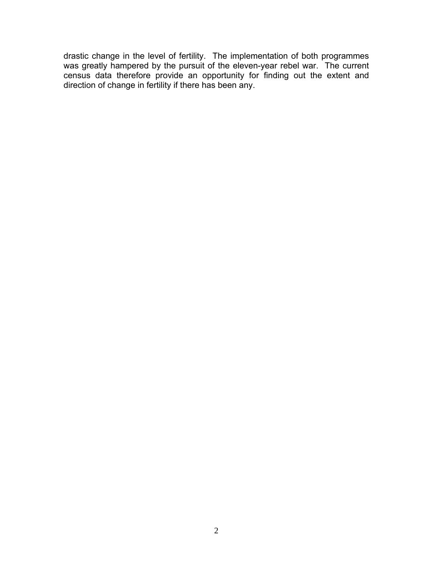drastic change in the level of fertility. The implementation of both programmes was greatly hampered by the pursuit of the eleven-year rebel war. The current census data therefore provide an opportunity for finding out the extent and direction of change in fertility if there has been any.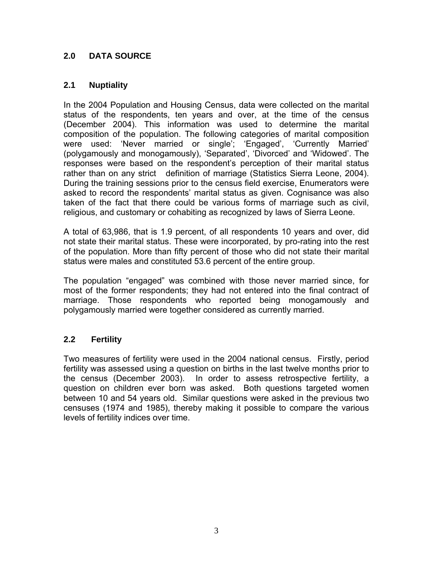#### **2.0 DATA SOURCE**

#### **2.1 Nuptiality**

In the 2004 Population and Housing Census, data were collected on the marital status of the respondents, ten years and over, at the time of the census (December 2004). This information was used to determine the marital composition of the population. The following categories of marital composition were used: 'Never married or single'; 'Engaged', 'Currently Married' (polygamously and monogamously), 'Separated', 'Divorced' and 'Widowed'. The responses were based on the respondent's perception of their marital status rather than on any strict definition of marriage (Statistics Sierra Leone, 2004). During the training sessions prior to the census field exercise, Enumerators were asked to record the respondents' marital status as given. Cognisance was also taken of the fact that there could be various forms of marriage such as civil, religious, and customary or cohabiting as recognized by laws of Sierra Leone.

A total of 63,986, that is 1.9 percent, of all respondents 10 years and over, did not state their marital status. These were incorporated, by pro-rating into the rest of the population. More than fifty percent of those who did not state their marital status were males and constituted 53.6 percent of the entire group.

The population "engaged" was combined with those never married since, for most of the former respondents; they had not entered into the final contract of marriage. Those respondents who reported being monogamously and polygamously married were together considered as currently married.

#### **2.2 Fertility**

Two measures of fertility were used in the 2004 national census. Firstly, period fertility was assessed using a question on births in the last twelve months prior to the census (December 2003). In order to assess retrospective fertility, a question on children ever born was asked. Both questions targeted women between 10 and 54 years old. Similar questions were asked in the previous two censuses (1974 and 1985), thereby making it possible to compare the various levels of fertility indices over time.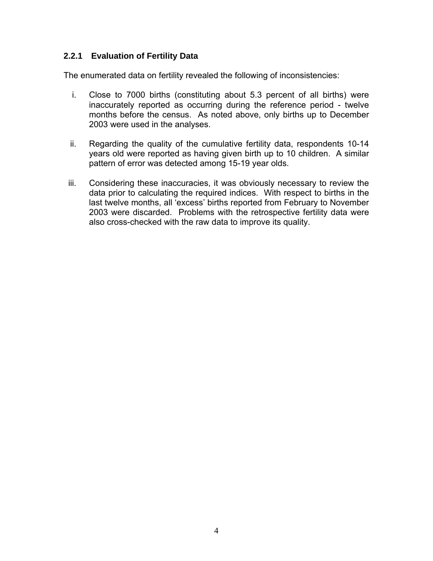#### **2.2.1 Evaluation of Fertility Data**

The enumerated data on fertility revealed the following of inconsistencies:

- i. Close to 7000 births (constituting about 5.3 percent of all births) were inaccurately reported as occurring during the reference period - twelve months before the census. As noted above, only births up to December 2003 were used in the analyses.
- ii. Regarding the quality of the cumulative fertility data, respondents 10-14 years old were reported as having given birth up to 10 children. A similar pattern of error was detected among 15-19 year olds.
- iii. Considering these inaccuracies, it was obviously necessary to review the data prior to calculating the required indices. With respect to births in the last twelve months, all 'excess' births reported from February to November 2003 were discarded. Problems with the retrospective fertility data were also cross-checked with the raw data to improve its quality.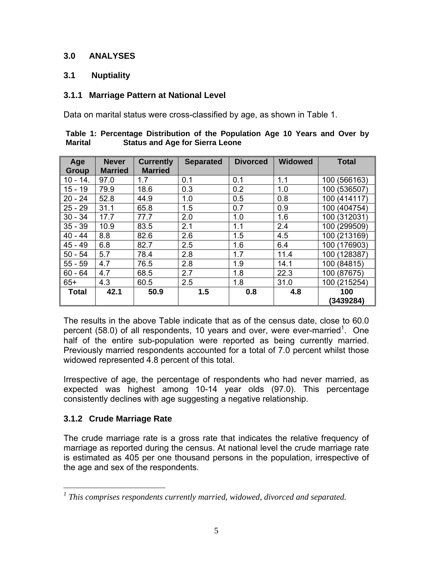#### **3.0 ANALYSES**

#### **3.1 Nuptiality**

#### **3.1.1 Marriage Pattern at National Level**

Data on marital status were cross-classified by age, as shown in Table 1.

| Age<br><b>Group</b> | <b>Never</b><br><b>Married</b> | <b>Currently</b><br><b>Married</b> | <b>Separated</b> | <b>Divorced</b> | <b>Widowed</b> | <b>Total</b>    |
|---------------------|--------------------------------|------------------------------------|------------------|-----------------|----------------|-----------------|
| $10 - 14.$          | 97.0                           | 1.7                                | 0.1              | 0.1             | 1.1            | 100 (566163)    |
| $15 - 19$           | 79.9                           | 18.6                               | 0.3              | 0.2             | 1.0            | (536507)<br>100 |
| $20 - 24$           | 52.8                           | 44.9                               | 1.0              | 0.5             | 0.8            | 100 (414117)    |
| $-29$<br>25         | 31.1                           | 65.8                               | 1.5              | 0.7             | 0.9            | 100<br>(404754) |
| $30 - 34$           | 17.7                           | 77.7                               | 2.0              | 1.0             | 1.6            | 100 (312031)    |
| $35 - 39$           | 10.9                           | 83.5                               | 2.1              | 1.1             | 2.4            | (299509)<br>100 |
| 40<br>$-44$         | 8.8                            | 82.6                               | 2.6              | 1.5             | 4.5            | (213169)<br>100 |
| 45<br>$-49$         | 6.8                            | 82.7                               | 2.5              | 1.6             | 6.4            | (176903)<br>100 |
| $50 - 54$           | 5.7                            | 78.4                               | 2.8              | 1.7             | 11.4           | 100 (128387)    |
| $55 - 59$           | 4.7                            | 76.5                               | 2.8              | 1.9             | 14.1           | (84815)<br>100  |
| $60 - 64$           | 4.7                            | 68.5                               | 2.7              | 1.8             | 22.3           | 100 (87675)     |
| $65+$               | 4.3                            | 60.5                               | 2.5              | 1.8             | 31.0           | 100 (215254)    |
| <b>Total</b>        | 42.1                           | 50.9                               | 1.5              | 0.8             | 4.8            | 100             |
|                     |                                |                                    |                  |                 |                | (3439284)       |

|                | Table 1: Percentage Distribution of the Population Age 10 Years and Over by |  |  |  |  |  |
|----------------|-----------------------------------------------------------------------------|--|--|--|--|--|
| <b>Marital</b> | <b>Status and Age for Sierra Leone</b>                                      |  |  |  |  |  |

The results in the above Table indicate that as of the census date, close to 60.0 percent (58.0) of all respondents, 10 years and over, were ever-married<sup>1</sup>. One half of the entire sub-population were reported as being currently married. Previously married respondents accounted for a total of 7.0 percent whilst those widowed represented 4.8 percent of this total.

Irrespective of age, the percentage of respondents who had never married, as expected was highest among 10-14 year olds (97.0). This percentage consistently declines with age suggesting a negative relationship.

#### **3.1.2 Crude Marriage Rate**

The crude marriage rate is a gross rate that indicates the relative frequency of marriage as reported during the census. At national level the crude marriage rate is estimated as 405 per one thousand persons in the population, irrespective of the age and sex of the respondents.

 *1 This comprises respondents currently married, widowed, divorced and separated.*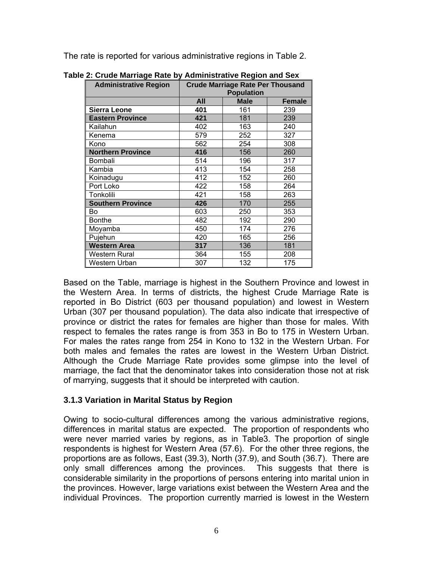The rate is reported for various administrative regions in Table 2.

| <b>Administrative Region</b> | <b>Crude Marriage Rate Per Thousand</b><br><b>Population</b> |             |               |  |  |  |  |
|------------------------------|--------------------------------------------------------------|-------------|---------------|--|--|--|--|
|                              | All                                                          | <b>Male</b> | <b>Female</b> |  |  |  |  |
| <b>Sierra Leone</b>          | 401                                                          | 161         | 239           |  |  |  |  |
| <b>Eastern Province</b>      | 421                                                          | 181         | 239           |  |  |  |  |
| Kailahun                     | 402                                                          | 163         | 240           |  |  |  |  |
| Kenema                       | 579                                                          | 252         | 327           |  |  |  |  |
| Kono                         | 562                                                          | 254         | 308           |  |  |  |  |
| <b>Northern Province</b>     | 416                                                          | 156         | 260           |  |  |  |  |
| Bombali                      | 514                                                          | 196         | 317           |  |  |  |  |
| Kambia                       | 413                                                          | 154         | 258           |  |  |  |  |
| Koinadugu                    | 412                                                          | 152         | 260           |  |  |  |  |
| Port Loko                    | 422                                                          | 158         | 264           |  |  |  |  |
| Tonkolili                    | 421                                                          | 158         | 263           |  |  |  |  |
| <b>Southern Province</b>     | 426                                                          | 170         | 255           |  |  |  |  |
| Bo                           | 603                                                          | 250         | 353           |  |  |  |  |
| <b>Bonthe</b>                | 482                                                          | 192         | 290           |  |  |  |  |
| Moyamba                      | 450                                                          | 174         | 276           |  |  |  |  |
| Pujehun                      | 420                                                          | 165         | 256           |  |  |  |  |
| <b>Western Area</b>          | 317                                                          | 136         | 181           |  |  |  |  |
| Western Rural                | 364                                                          | 155         | 208           |  |  |  |  |
| Western Urban                | 307                                                          | 132         | 175           |  |  |  |  |

**Table 2: Crude Marriage Rate by Administrative Region and Sex** 

Based on the Table, marriage is highest in the Southern Province and lowest in the Western Area. In terms of districts, the highest Crude Marriage Rate is reported in Bo District (603 per thousand population) and lowest in Western Urban (307 per thousand population). The data also indicate that irrespective of province or district the rates for females are higher than those for males. With respect to females the rates range is from 353 in Bo to 175 in Western Urban. For males the rates range from 254 in Kono to 132 in the Western Urban. For both males and females the rates are lowest in the Western Urban District. Although the Crude Marriage Rate provides some glimpse into the level of marriage, the fact that the denominator takes into consideration those not at risk of marrying, suggests that it should be interpreted with caution.

#### **3.1.3 Variation in Marital Status by Region**

Owing to socio-cultural differences among the various administrative regions, differences in marital status are expected. The proportion of respondents who were never married varies by regions, as in Table3. The proportion of single respondents is highest for Western Area (57.6). For the other three regions, the proportions are as follows, East (39.3), North (37.9), and South (36.7). There are only small differences among the provinces. This suggests that there is considerable similarity in the proportions of persons entering into marital union in the provinces. However, large variations exist between the Western Area and the individual Provinces. The proportion currently married is lowest in the Western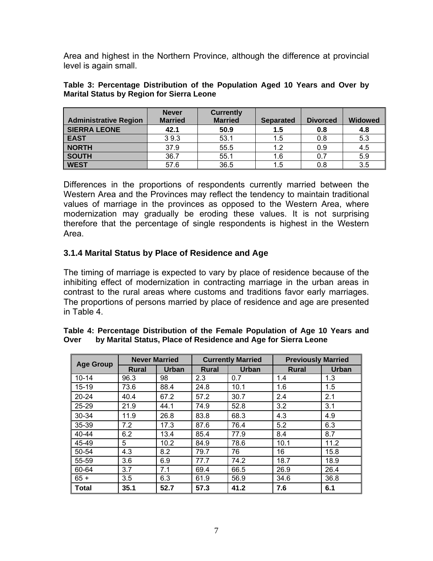Area and highest in the Northern Province, although the difference at provincial level is again small.

|                              | <b>Never</b>   | <b>Currently</b> |                  |                 |                |
|------------------------------|----------------|------------------|------------------|-----------------|----------------|
| <b>Administrative Region</b> | <b>Married</b> | <b>Married</b>   | <b>Separated</b> | <b>Divorced</b> | <b>Widowed</b> |
| <b>SIERRA LEONE</b>          | 42.1           | 50.9             | 1.5              | 0.8             | 4.8            |
| <b>EAST</b>                  | 39.3           | 53.1             | 1.5              | 0.8             | 5.3            |
| <b>NORTH</b>                 | 37.9           | 55.5             | 1.2              | 0.9             | 4.5            |
| <b>SOUTH</b>                 | 36.7           | 55.1             | 1.6              | 0.7             | 5.9            |
| <b>WEST</b>                  | 57.6           | 36.5             | 1.5              | 0.8             | 3.5            |

**Table 3: Percentage Distribution of the Population Aged 10 Years and Over by Marital Status by Region for Sierra Leone** 

Differences in the proportions of respondents currently married between the Western Area and the Provinces may reflect the tendency to maintain traditional values of marriage in the provinces as opposed to the Western Area, where modernization may gradually be eroding these values. It is not surprising therefore that the percentage of single respondents is highest in the Western Area.

#### **3.1.4 Marital Status by Place of Residence and Age**

The timing of marriage is expected to vary by place of residence because of the inhibiting effect of modernization in contracting marriage in the urban areas in contrast to the rural areas where customs and traditions favor early marriages. The proportions of persons married by place of residence and age are presented in Table 4.

|                  | <b>Never Married</b> |       |              | <b>Currently Married</b> | <b>Previously Married</b> |              |  |
|------------------|----------------------|-------|--------------|--------------------------|---------------------------|--------------|--|
| <b>Age Group</b> | <b>Rural</b>         | Urban | <b>Rural</b> | Urban                    | <b>Rural</b>              | <b>Urban</b> |  |
| $10 - 14$        | 96.3                 | 98    | 2.3          | 0.7                      | 1.4                       | 1.3          |  |
| $15 - 19$        | 73.6                 | 88.4  | 24.8         | 10.1                     | 1.6                       | 1.5          |  |
| $20 - 24$        | 40.4                 | 67.2  | 57.2         | 30.7                     | 2.4                       | 2.1          |  |
| 25-29            | 21.9                 | 44.1  | 74.9         | 52.8                     | 3.2                       | 3.1          |  |
| 30-34            | 11.9                 | 26.8  | 83.8         | 68.3                     | 4.3                       | 4.9          |  |
| 35-39            | 7.2                  | 17.3  | 87.6         | 76.4                     | 5.2                       | 6.3          |  |
| 40-44            | 6.2                  | 13.4  | 85.4         | 77.9                     | 8.4                       | 8.7          |  |
| 45-49            | 5                    | 10.2  | 84.9         | 78.6                     | 10.1                      | 11.2         |  |
| 50-54            | 4.3                  | 8.2   | 79.7         | 76                       | 16                        | 15.8         |  |
| 55-59            | 3.6                  | 6.9   | 77.7         | 74.2                     | 18.7                      | 18.9         |  |
| 60-64            | 3.7                  | 7.1   | 69.4         | 66.5                     | 26.9                      | 26.4         |  |
| $65 +$           | 3.5                  | 6.3   | 61.9         | 56.9                     | 34.6                      | 36.8         |  |
| <b>Total</b>     | 35.1                 | 52.7  | 57.3         | 41.2                     | 7.6                       | 6.1          |  |

#### **Table 4: Percentage Distribution of the Female Population of Age 10 Years and Over by Marital Status, Place of Residence and Age for Sierra Leone**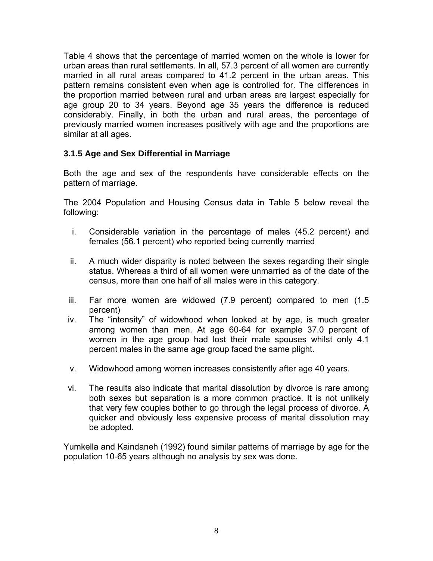Table 4 shows that the percentage of married women on the whole is lower for urban areas than rural settlements. In all, 57.3 percent of all women are currently married in all rural areas compared to 41.2 percent in the urban areas. This pattern remains consistent even when age is controlled for. The differences in the proportion married between rural and urban areas are largest especially for age group 20 to 34 years. Beyond age 35 years the difference is reduced considerably. Finally, in both the urban and rural areas, the percentage of previously married women increases positively with age and the proportions are similar at all ages.

#### **3.1.5 Age and Sex Differential in Marriage**

Both the age and sex of the respondents have considerable effects on the pattern of marriage.

The 2004 Population and Housing Census data in Table 5 below reveal the following:

- i. Considerable variation in the percentage of males (45.2 percent) and females (56.1 percent) who reported being currently married
- ii. A much wider disparity is noted between the sexes regarding their single status. Whereas a third of all women were unmarried as of the date of the census, more than one half of all males were in this category.
- iii. Far more women are widowed (7.9 percent) compared to men (1.5 percent)
- iv. The "intensity" of widowhood when looked at by age, is much greater among women than men. At age 60-64 for example 37.0 percent of women in the age group had lost their male spouses whilst only 4.1 percent males in the same age group faced the same plight.
- v. Widowhood among women increases consistently after age 40 years.
- vi. The results also indicate that marital dissolution by divorce is rare among both sexes but separation is a more common practice. It is not unlikely that very few couples bother to go through the legal process of divorce. A quicker and obviously less expensive process of marital dissolution may be adopted.

Yumkella and Kaindaneh (1992) found similar patterns of marriage by age for the population 10-65 years although no analysis by sex was done.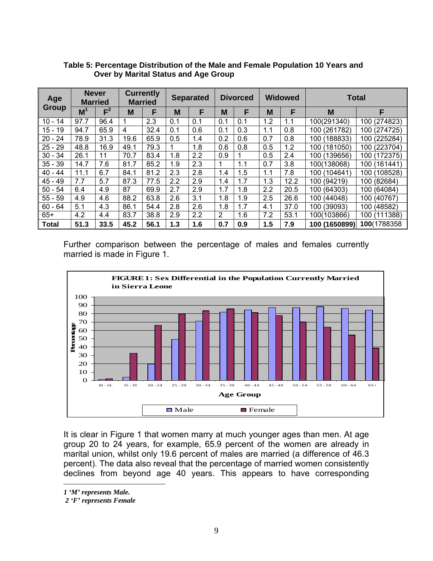| Age          | <b>Never</b>   | <b>Married</b> |      | <b>Currently</b><br><b>Married</b> |     | <b>Separated</b> |                | <b>Divorced</b> |     | <b>Widowed</b> | <b>Total</b>  |                 |
|--------------|----------------|----------------|------|------------------------------------|-----|------------------|----------------|-----------------|-----|----------------|---------------|-----------------|
| Group        | M <sup>1</sup> | $F^2$          | M    | F                                  | M   | F                | M              | F               | M   | F              | M             | F               |
| $10 - 14$    | 97.7           | 96.4           |      | 2.3                                | 0.1 | 0.1              | 0.1            | 0.1             | 1.2 | 1.1            | 100(291340)   | 100 (274823)    |
| $15 - 19$    | 94.7           | 65.9           | 4    | 32.4                               | 0.1 | 0.6              | 0.1            | 0.3             | 1.1 | 0.8            | 100 (261782)  | 100 (274725)    |
| $20 - 24$    | 78.9           | 31.3           | 19.6 | 65.9                               | 0.5 | 1.4              | 0.2            | 0.6             | 0.7 | 0.8            | 100 (188833)  | 100 (225284)    |
| $25 - 29$    | 48.8           | 16.9           | 49.1 | 79.3                               |     | 1.8              | 0.6            | 0.8             | 0.5 | 1.2            | 100 (181050)  | 100 (223704)    |
| $30 - 34$    | 26.1           | 11             | 70.7 | 83.4                               | 1.8 | 2.2              | 0.9            |                 | 0.5 | 2.4            | 100 (139656)  | 100 (172375)    |
| $35 - 39$    | 14.7           | 7.6            | 81.7 | 85.2                               | 1.9 | 2.3              | 1              | 1.1             | 0.7 | 3.8            | 100(138068)   | (161441)<br>100 |
| $40 - 44$    | 11.1           | 6.7            | 84.1 | 81.2                               | 2.3 | 2.8              | 1.4            | 1.5             | 1.1 | 7.8            | 100 (104641)  | 100 (108528)    |
| 45<br>$-49$  | 7.7            | 5.7            | 87.3 | 77.5                               | 2.2 | 2.9              | 1.4            | 1.7             | 1.3 | 12.2           | 100 (94219)   | 100 (82684)     |
| $50 - 54$    | 6.4            | 4.9            | 87   | 69.9                               | 2.7 | 2.9              | 1.7            | 1.8             | 2.2 | 20.5           | 100 (64303)   | 100 (64084)     |
| $55 - 59$    | 4.9            | 4.6            | 88.2 | 63.8                               | 2.6 | 3.1              | 1.8            | 1.9             | 2.5 | 26.6           | 100 (44048)   | 100 (40767)     |
| $60 - 64$    | 5.1            | 4.3            | 86.1 | 54.4                               | 2.8 | 2.6              | 1.8            | 1.7             | 4.1 | 37.0           | 100 (39093)   | 100 (48582)     |
| $65+$        | 4.2            | 4.4            | 83.7 | 38.8                               | 2.9 | 2.2              | $\overline{2}$ | 1.6             | 7.2 | 53.1           | 100(103866)   | 100 (111388)    |
| <b>Total</b> | 51.3           | 33.5           | 45.2 | 56.1                               | 1.3 | 1.6              | 0.7            | 0.9             | 1.5 | 7.9            | 100 (1650899) | 100(1788358     |

**Table 5: Percentage Distribution of the Male and Female Population 10 Years and Over by Marital Status and Age Group** 

Further comparison between the percentage of males and females currently married is made in Figure 1.



It is clear in Figure 1 that women marry at much younger ages than men. At age group 20 to 24 years, for example, 65.9 percent of the women are already in marital union, whilst only 19.6 percent of males are married (a difference of 46.3 percent). The data also reveal that the percentage of married women consistently declines from beyond age 40 years. This appears to have corresponding

*1 'M' represents Male.* 

 $\overline{a}$ 

 *2 'F' represents Female*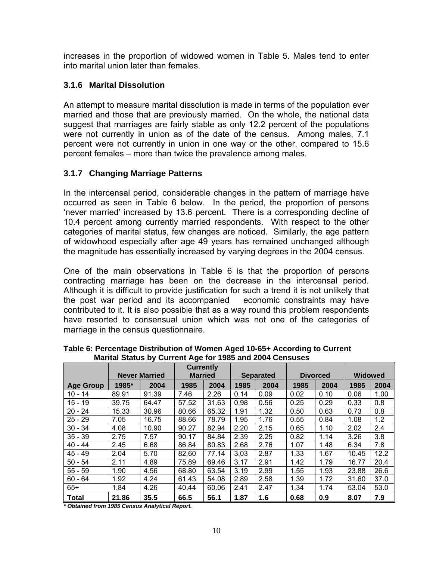increases in the proportion of widowed women in Table 5. Males tend to enter into marital union later than females.

#### **3.1.6 Marital Dissolution**

An attempt to measure marital dissolution is made in terms of the population ever married and those that are previously married. On the whole, the national data suggest that marriages are fairly stable as only 12.2 percent of the populations were not currently in union as of the date of the census. Among males, 7.1 percent were not currently in union in one way or the other, compared to 15.6 percent females – more than twice the prevalence among males.

#### **3.1.7 Changing Marriage Patterns**

In the intercensal period, considerable changes in the pattern of marriage have occurred as seen in Table 6 below. In the period, the proportion of persons 'never married' increased by 13.6 percent. There is a corresponding decline of 10.4 percent among currently married respondents. With respect to the other categories of marital status, few changes are noticed. Similarly, the age pattern of widowhood especially after age 49 years has remained unchanged although the magnitude has essentially increased by varying degrees in the 2004 census.

One of the main observations in Table 6 is that the proportion of persons contracting marriage has been on the decrease in the intercensal period. Although it is difficult to provide justification for such a trend it is not unlikely that the post war period and its accompanied economic constraints may have contributed to it. It is also possible that as a way round this problem respondents have resorted to consensual union which was not one of the categories of marriage in the census questionnaire.

|                  |       | <b>Never Married</b> | <b>Currently</b><br><b>Married</b> |       |      | <b>Separated</b> | <b>Divorced</b> |      | <b>Widowed</b> |      |
|------------------|-------|----------------------|------------------------------------|-------|------|------------------|-----------------|------|----------------|------|
| <b>Age Group</b> | 1985* | 2004                 | 1985                               | 2004  | 1985 | 2004             | 1985            | 2004 | 1985           | 2004 |
| $10 - 14$        | 89.91 | 91.39                | 7.46                               | 2.26  | 0.14 | 0.09             | 0.02            | 0.10 | 0.06           | 1.00 |
| $15 - 19$        | 39.75 | 64.47                | 57.52                              | 31.63 | 0.98 | 0.56             | 0.25            | 0.29 | 0.33           | 0.8  |
| $20 - 24$        | 15.33 | 30.96                | 80.66                              | 65.32 | 1.91 | 1.32             | 0.50            | 0.63 | 0.73           | 0.8  |
| $25 - 29$        | 7.05  | 16.75                | 88.66                              | 78.79 | 1.95 | 1.76             | 0.55            | 0.84 | 1.08           | 1.2  |
| $30 - 34$        | 4.08  | 10.90                | 90.27                              | 82.94 | 2.20 | 2.15             | 0.65            | 1.10 | 2.02           | 2.4  |
| $35 - 39$        | 2.75  | 7.57                 | 90.17                              | 84.84 | 2.39 | 2.25             | 0.82            | 1.14 | 3.26           | 3.8  |
| $40 - 44$        | 2.45  | 6.68                 | 86.84                              | 80.83 | 2.68 | 2.76             | 1.07            | 1.48 | 6.34           | 7.8  |
| $45 - 49$        | 2.04  | 5.70                 | 82.60                              | 77.14 | 3.03 | 2.87             | 1.33            | 1.67 | 10.45          | 12.2 |
| $50 - 54$        | 2.11  | 4.89                 | 75.89                              | 69.46 | 3.17 | 2.91             | 1.42            | 1.79 | 16.77          | 20.4 |
| $55 - 59$        | 1.90  | 4.56                 | 68.80                              | 63.54 | 3.19 | 2.99             | 1.55            | 1.93 | 23.88          | 26.6 |
| $60 - 64$        | 1.92  | 4.24                 | 61.43                              | 54.08 | 2.89 | 2.58             | 1.39            | 1.72 | 31.60          | 37.0 |
| $65+$            | 1.84  | 4.26                 | 40.44                              | 60.06 | 2.41 | 2.47             | 1.34            | 1.74 | 53.04          | 53.0 |
| <b>Total</b>     | 21.86 | 35.5                 | 66.5                               | 56.1  | 1.87 | 1.6              | 0.68            | 0.9  | 8.07           | 7.9  |

**Table 6: Percentage Distribution of Women Aged 10-65+ According to Current Marital Status by Current Age for 1985 and 2004 Censuses** 

*\* Obtained from 1985 Census Analytical Report.*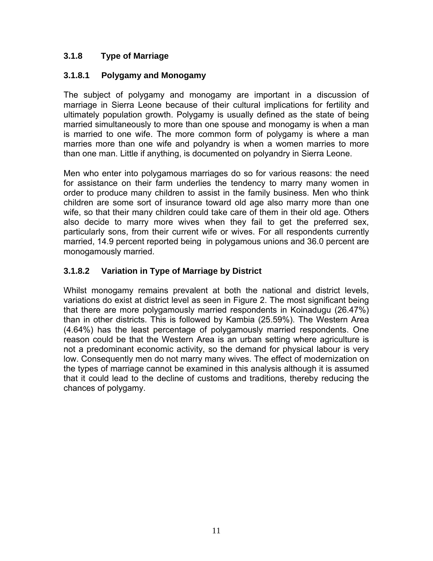#### **3.1.8 Type of Marriage**

#### **3.1.8.1 Polygamy and Monogamy**

The subject of polygamy and monogamy are important in a discussion of marriage in Sierra Leone because of their cultural implications for fertility and ultimately population growth. Polygamy is usually defined as the state of being married simultaneously to more than one spouse and monogamy is when a man is married to one wife. The more common form of polygamy is where a man marries more than one wife and polyandry is when a women marries to more than one man. Little if anything, is documented on polyandry in Sierra Leone.

Men who enter into polygamous marriages do so for various reasons: the need for assistance on their farm underlies the tendency to marry many women in order to produce many children to assist in the family business. Men who think children are some sort of insurance toward old age also marry more than one wife, so that their many children could take care of them in their old age. Others also decide to marry more wives when they fail to get the preferred sex, particularly sons, from their current wife or wives. For all respondents currently married, 14.9 percent reported being in polygamous unions and 36.0 percent are monogamously married.

#### **3.1.8.2 Variation in Type of Marriage by District**

Whilst monogamy remains prevalent at both the national and district levels, variations do exist at district level as seen in Figure 2. The most significant being that there are more polygamously married respondents in Koinadugu (26.47%) than in other districts. This is followed by Kambia (25.59%). The Western Area (4.64%) has the least percentage of polygamously married respondents. One reason could be that the Western Area is an urban setting where agriculture is not a predominant economic activity, so the demand for physical labour is very low. Consequently men do not marry many wives. The effect of modernization on the types of marriage cannot be examined in this analysis although it is assumed that it could lead to the decline of customs and traditions, thereby reducing the chances of polygamy.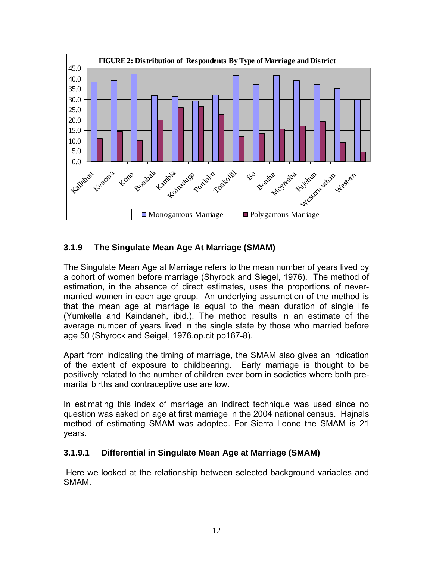

#### **3.1.9 The Singulate Mean Age At Marriage (SMAM)**

The Singulate Mean Age at Marriage refers to the mean number of years lived by a cohort of women before marriage (Shyrock and Siegel, 1976). The method of estimation, in the absence of direct estimates, uses the proportions of nevermarried women in each age group. An underlying assumption of the method is that the mean age at marriage is equal to the mean duration of single life (Yumkella and Kaindaneh, ibid.). The method results in an estimate of the average number of years lived in the single state by those who married before age 50 (Shyrock and Seigel, 1976.op.cit pp167-8).

Apart from indicating the timing of marriage, the SMAM also gives an indication of the extent of exposure to childbearing. Early marriage is thought to be positively related to the number of children ever born in societies where both premarital births and contraceptive use are low.

In estimating this index of marriage an indirect technique was used since no question was asked on age at first marriage in the 2004 national census. Hajnals method of estimating SMAM was adopted. For Sierra Leone the SMAM is 21 years.

#### **3.1.9.1 Differential in Singulate Mean Age at Marriage (SMAM)**

 Here we looked at the relationship between selected background variables and SMAM.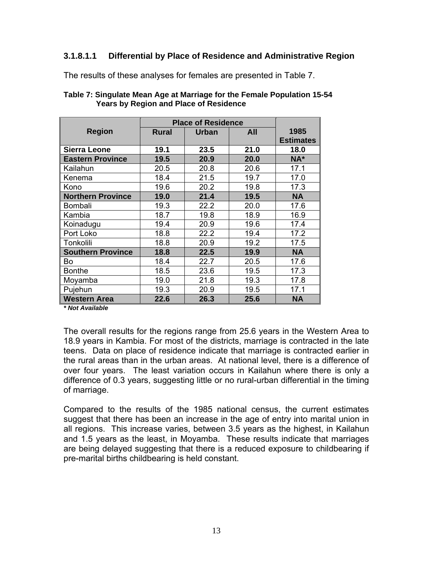#### **3.1.8.1.1 Differential by Place of Residence and Administrative Region**

The results of these analyses for females are presented in Table 7.

|                          |              | <b>Place of Residence</b> |      |                  |  |  |  |
|--------------------------|--------------|---------------------------|------|------------------|--|--|--|
| <b>Region</b>            | <b>Rural</b> | Urban                     | All  | 1985             |  |  |  |
|                          |              |                           |      | <b>Estimates</b> |  |  |  |
| <b>Sierra Leone</b>      | 19.1         | 23.5                      | 21.0 | 18.0             |  |  |  |
| <b>Eastern Province</b>  | 19.5         | 20.9                      | 20.0 | NA*              |  |  |  |
| Kailahun                 | 20.5         | 20.8                      | 20.6 | 17.1             |  |  |  |
| Kenema                   | 18.4         | 21.5                      | 19.7 | 17.0             |  |  |  |
| Kono                     | 19.6         | 20.2                      | 19.8 | 17.3             |  |  |  |
| <b>Northern Province</b> | 19.0         | 21.4                      | 19.5 | <b>NA</b>        |  |  |  |
| Bombali                  | 19.3         | 22.2                      | 20.0 | 17.6             |  |  |  |
| Kambia                   | 18.7         | 19.8                      | 18.9 | 16.9             |  |  |  |
| Koinadugu                | 19.4         | 20.9                      | 19.6 | 17.4             |  |  |  |
| Port Loko                | 18.8         | 22.2                      | 19.4 | 17.2             |  |  |  |
| Tonkolili                | 18.8         | 20.9                      | 19.2 | 17.5             |  |  |  |
| <b>Southern Province</b> | 18.8         | 22.5                      | 19.9 | <b>NA</b>        |  |  |  |
| Bo                       | 18.4         | 22.7                      | 20.5 | 17.6             |  |  |  |
| <b>Bonthe</b>            | 18.5         | 23.6                      | 19.5 | 17.3             |  |  |  |
| Moyamba                  | 19.0         | 21.8                      | 19.3 | 17.8             |  |  |  |
| Pujehun                  | 19.3         | 20.9                      | 19.5 | 17.1             |  |  |  |
| <b>Western Area</b>      | 22.6         | 26.3                      | 25.6 | <b>NA</b>        |  |  |  |

| Table 7: Singulate Mean Age at Marriage for the Female Population 15-54 |  |
|-------------------------------------------------------------------------|--|
| <b>Years by Region and Place of Residence</b>                           |  |

*\* Not Available* 

The overall results for the regions range from 25.6 years in the Western Area to 18.9 years in Kambia. For most of the districts, marriage is contracted in the late teens. Data on place of residence indicate that marriage is contracted earlier in the rural areas than in the urban areas. At national level, there is a difference of over four years. The least variation occurs in Kailahun where there is only a difference of 0.3 years, suggesting little or no rural-urban differential in the timing of marriage.

Compared to the results of the 1985 national census, the current estimates suggest that there has been an increase in the age of entry into marital union in all regions. This increase varies, between 3.5 years as the highest, in Kailahun and 1.5 years as the least, in Moyamba. These results indicate that marriages are being delayed suggesting that there is a reduced exposure to childbearing if pre-marital births childbearing is held constant.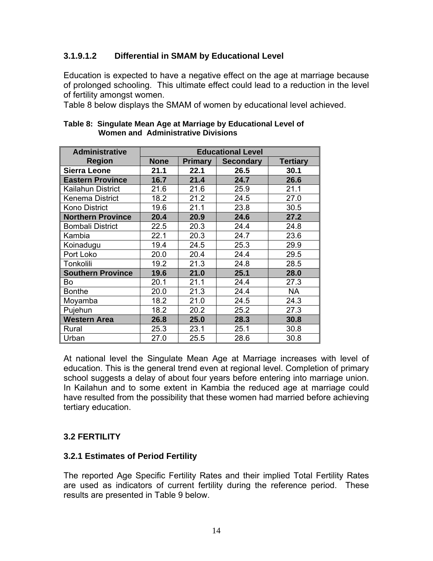#### **3.1.9.1.2 Differential in SMAM by Educational Level**

Education is expected to have a negative effect on the age at marriage because of prolonged schooling. This ultimate effect could lead to a reduction in the level of fertility amongst women.

Table 8 below displays the SMAM of women by educational level achieved.

| <b>Administrative</b>    |             |                | <b>Educational Level</b> |                 |
|--------------------------|-------------|----------------|--------------------------|-----------------|
| <b>Region</b>            | <b>None</b> | <b>Primary</b> | <b>Secondary</b>         | <b>Tertiary</b> |
| <b>Sierra Leone</b>      | 21.1        | 22.1           | 26.5                     | 30.1            |
| <b>Eastern Province</b>  | 16.7        | 21.4           | 24.7                     | 26.6            |
| Kailahun District        | 21.6        | 21.6           | 25.9                     | 21.1            |
| Kenema District          | 18.2        | 21.2           | 24.5                     | 27.0            |
| <b>Kono District</b>     | 19.6        | 21.1           | 23.8                     | 30.5            |
| <b>Northern Province</b> | 20.4        | 20.9           | 24.6                     | 27.2            |
| <b>Bombali District</b>  | 22.5        | 20.3           | 24.4                     | 24.8            |
| Kambia                   | 22.1        | 20.3           | 24.7                     | 23.6            |
| Koinadugu                | 19.4        | 24.5           | 25.3                     | 29.9            |
| Port Loko                | 20.0        | 20.4           | 24.4                     | 29.5            |
| Tonkolili                | 19.2        | 21.3           | 24.8                     | 28.5            |
| <b>Southern Province</b> | 19.6        | 21.0           | 25.1                     | 28.0            |
| Bo                       | 20.1        | 21.1           | 24.4                     | 27.3            |
| <b>Bonthe</b>            | 20.0        | 21.3           | 24.4                     | <b>NA</b>       |
| Moyamba                  | 18.2        | 21.0           | 24.5                     | 24.3            |
| Pujehun                  | 18.2        | 20.2           | 25.2                     | 27.3            |
| <b>Western Area</b>      | 26.8        | 25.0           | 28.3                     | 30.8            |
| Rural                    | 25.3        | 23.1           | 25.1                     | 30.8            |
| Urban                    | 27.0        | 25.5           | 28.6                     | 30.8            |

#### **Table 8: Singulate Mean Age at Marriage by Educational Level of Women and Administrative Divisions**

At national level the Singulate Mean Age at Marriage increases with level of education. This is the general trend even at regional level. Completion of primary school suggests a delay of about four years before entering into marriage union. In Kailahun and to some extent in Kambia the reduced age at marriage could have resulted from the possibility that these women had married before achieving tertiary education.

#### **3.2 FERTILITY**

#### **3.2.1 Estimates of Period Fertility**

The reported Age Specific Fertility Rates and their implied Total Fertility Rates are used as indicators of current fertility during the reference period. These results are presented in Table 9 below.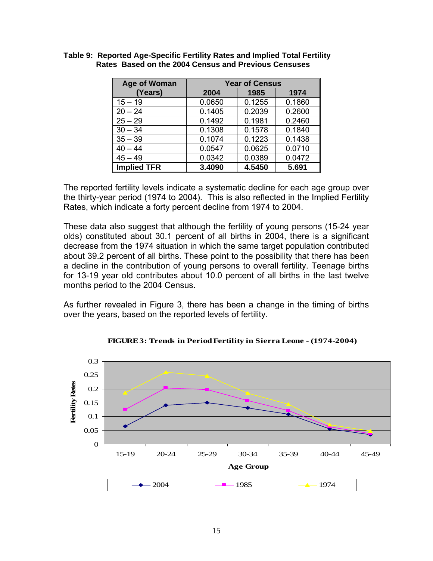| <b>Age of Woman</b> | <b>Year of Census</b> |        |        |  |  |  |
|---------------------|-----------------------|--------|--------|--|--|--|
| (Years)             | 2004                  | 1985   | 1974   |  |  |  |
| $15 - 19$           | 0.0650                | 0.1255 | 0.1860 |  |  |  |
| $20 - 24$           | 0.1405                | 0.2039 | 0.2600 |  |  |  |
| $25 - 29$           | 0.1492                | 0.1981 | 0.2460 |  |  |  |
| $30 - 34$           | 0.1308                | 0.1578 | 0.1840 |  |  |  |
| $35 - 39$           | 0.1074                | 0.1223 | 0.1438 |  |  |  |
| $40 - 44$           | 0.0547                | 0.0625 | 0.0710 |  |  |  |
| $45 - 49$           | 0.0342                | 0.0389 | 0.0472 |  |  |  |
| <b>Implied TFR</b>  | 3.4090                | 4.5450 | 5.691  |  |  |  |

**Table 9: Reported Age-Specific Fertility Rates and Implied Total Fertility Rates Based on the 2004 Census and Previous Censuses** 

The reported fertility levels indicate a systematic decline for each age group over the thirty-year period (1974 to 2004). This is also reflected in the Implied Fertility Rates, which indicate a forty percent decline from 1974 to 2004.

These data also suggest that although the fertility of young persons (15-24 year olds) constituted about 30.1 percent of all births in 2004, there is a significant decrease from the 1974 situation in which the same target population contributed about 39.2 percent of all births. These point to the possibility that there has been a decline in the contribution of young persons to overall fertility. Teenage births for 13-19 year old contributes about 10.0 percent of all births in the last twelve months period to the 2004 Census.

As further revealed in Figure 3, there has been a change in the timing of births over the years, based on the reported levels of fertility.

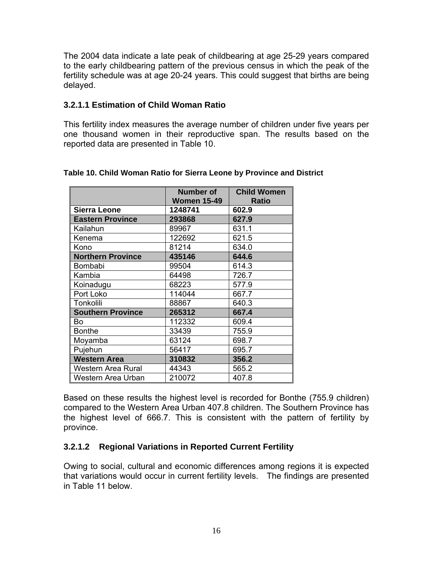The 2004 data indicate a late peak of childbearing at age 25-29 years compared to the early childbearing pattern of the previous census in which the peak of the fertility schedule was at age 20-24 years. This could suggest that births are being delayed.

#### **3.2.1.1 Estimation of Child Woman Ratio**

This fertility index measures the average number of children under five years per one thousand women in their reproductive span. The results based on the reported data are presented in Table 10.

|                          | <b>Number of</b><br><b>Women 15-49</b> | <b>Child Women</b><br><b>Ratio</b> |
|--------------------------|----------------------------------------|------------------------------------|
| <b>Sierra Leone</b>      | 1248741                                | 602.9                              |
| <b>Eastern Province</b>  | 293868                                 | 627.9                              |
| Kailahun                 | 89967                                  | 631.1                              |
| Kenema                   | 122692                                 | 621.5                              |
| Kono                     | 81214                                  | 634.0                              |
| <b>Northern Province</b> | 435146                                 | 644.6                              |
| <b>Bombabi</b>           | 99504                                  | 614.3                              |
| Kambia                   | 64498                                  | 726.7                              |
| Koinadugu                | 68223                                  | 577.9                              |
| Port Loko                | 114044                                 | 667.7                              |
| Tonkolili                | 88867                                  | 640.3                              |
| <b>Southern Province</b> | 265312                                 | 667.4                              |
| Bo                       | 112332                                 | 609.4                              |
| <b>Bonthe</b>            | 33439                                  | 755.9                              |
| Moyamba                  | 63124                                  | 698.7                              |
| Pujehun                  | 56417                                  | 695.7                              |
| <b>Western Area</b>      | 310832                                 | 356.2                              |
| Western Area Rural       | 44343                                  | 565.2                              |
| Western Area Urban       | 210072                                 | 407.8                              |

#### **Table 10. Child Woman Ratio for Sierra Leone by Province and District**

Based on these results the highest level is recorded for Bonthe (755.9 children) compared to the Western Area Urban 407.8 children. The Southern Province has the highest level of 666.7. This is consistent with the pattern of fertility by province.

#### **3.2.1.2 Regional Variations in Reported Current Fertility**

Owing to social, cultural and economic differences among regions it is expected that variations would occur in current fertility levels. The findings are presented in Table 11 below.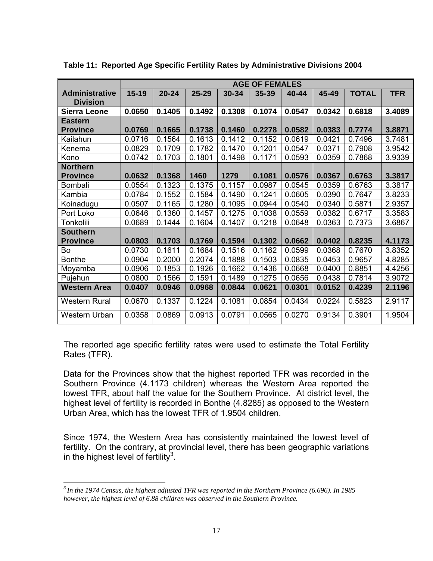|                                          |           |           |           |        | <b>AGE OF FEMALES</b> |        |        |              |            |
|------------------------------------------|-----------|-----------|-----------|--------|-----------------------|--------|--------|--------------|------------|
| <b>Administrative</b><br><b>Division</b> | $15 - 19$ | $20 - 24$ | $25 - 29$ | 30-34  | 35-39                 | 40-44  | 45-49  | <b>TOTAL</b> | <b>TFR</b> |
| <b>Sierra Leone</b>                      | 0.0650    | 0.1405    | 0.1492    | 0.1308 | 0.1074                | 0.0547 | 0.0342 | 0.6818       | 3.4089     |
| <b>Eastern</b>                           |           |           |           |        |                       |        |        |              |            |
| <b>Province</b>                          | 0.0769    | 0.1665    | 0.1738    | 0.1460 | 0.2278                | 0.0582 | 0.0383 | 0.7774       | 3.8871     |
| Kailahun                                 | 0.0716    | 0.1564    | 0.1613    | 0.1412 | 0.1152                | 0.0619 | 0.0421 | 0.7496       | 3.7481     |
| Kenema                                   | 0.0829    | 0.1709    | 0.1782    | 0.1470 | 0.1201                | 0.0547 | 0.0371 | 0.7908       | 3.9542     |
| Kono                                     | 0.0742    | 0.1703    | 0.1801    | 0.1498 | 0.1171                | 0.0593 | 0.0359 | 0.7868       | 3.9339     |
| <b>Northern</b>                          |           |           |           |        |                       |        |        |              |            |
| <b>Province</b>                          | 0.0632    | 0.1368    | 1460      | 1279   | 0.1081                | 0.0576 | 0.0367 | 0.6763       | 3.3817     |
| Bombali                                  | 0.0554    | 0.1323    | 0.1375    | 0.1157 | 0.0987                | 0.0545 | 0.0359 | 0.6763       | 3.3817     |
| Kambia                                   | 0.0784    | 0.1552    | 0.1584    | 0.1490 | 0.1241                | 0.0605 | 0.0390 | 0.7647       | 3.8233     |
| Koinadugu                                | 0.0507    | 0.1165    | 0.1280    | 0.1095 | 0.0944                | 0.0540 | 0.0340 | 0.5871       | 2.9357     |
| Port Loko                                | 0.0646    | 0.1360    | 0.1457    | 0.1275 | 0.1038                | 0.0559 | 0.0382 | 0.6717       | 3.3583     |
| Tonkolili                                | 0.0689    | 0.1444    | 0.1604    | 0.1407 | 0.1218                | 0.0648 | 0.0363 | 0.7373       | 3.6867     |
| <b>Southern</b>                          |           |           |           |        |                       |        |        |              |            |
| <b>Province</b>                          | 0.0803    | 0.1703    | 0.1769    | 0.1594 | 0.1302                | 0.0662 | 0.0402 | 0.8235       | 4.1173     |
| Bo                                       | 0.0730    | 0.1611    | 0.1684    | 0.1516 | 0.1162                | 0.0599 | 0.0368 | 0.7670       | 3.8352     |
| <b>Bonthe</b>                            | 0.0904    | 0.2000    | 0.2074    | 0.1888 | 0.1503                | 0.0835 | 0.0453 | 0.9657       | 4.8285     |
| Moyamba                                  | 0.0906    | 0.1853    | 0.1926    | 0.1662 | 0.1436                | 0.0668 | 0.0400 | 0.8851       | 4.4256     |
| Pujehun                                  | 0.0800    | 0.1566    | 0.1591    | 0.1489 | 0.1275                | 0.0656 | 0.0438 | 0.7814       | 3.9072     |
| <b>Western Area</b>                      | 0.0407    | 0.0946    | 0.0968    | 0.0844 | 0.0621                | 0.0301 | 0.0152 | 0.4239       | 2.1196     |
| <b>Western Rural</b>                     | 0.0670    | 0.1337    | 0.1224    | 0.1081 | 0.0854                | 0.0434 | 0.0224 | 0.5823       | 2.9117     |
| Western Urban                            | 0.0358    | 0.0869    | 0.0913    | 0.0791 | 0.0565                | 0.0270 | 0.9134 | 0.3901       | 1.9504     |

**Table 11: Reported Age Specific Fertility Rates by Administrative Divisions 2004** 

The reported age specific fertility rates were used to estimate the Total Fertility Rates (TFR).

Data for the Provinces show that the highest reported TFR was recorded in the Southern Province (4.1173 children) whereas the Western Area reported the lowest TFR, about half the value for the Southern Province. At district level, the highest level of fertility is recorded in Bonthe (4.8285) as opposed to the Western Urban Area, which has the lowest TFR of 1.9504 children.

Since 1974, the Western Area has consistently maintained the lowest level of fertility. On the contrary, at provincial level, there has been geographic variations in the highest level of fertility $3$ .

 $\overline{a}$ 

*<sup>3</sup> In the 1974 Census, the highest adjusted TFR was reported in the Northern Province (6.696). In 1985 however, the highest level of 6.88 children was observed in the Southern Province.*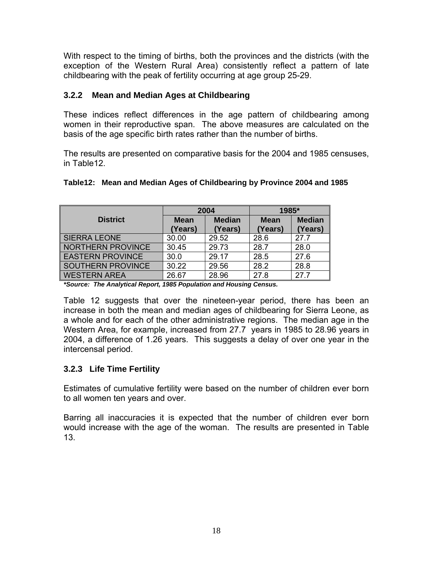With respect to the timing of births, both the provinces and the districts (with the exception of the Western Rural Area) consistently reflect a pattern of late childbearing with the peak of fertility occurring at age group 25-29.

#### **3.2.2 Mean and Median Ages at Childbearing**

These indices reflect differences in the age pattern of childbearing among women in their reproductive span. The above measures are calculated on the basis of the age specific birth rates rather than the number of births.

The results are presented on comparative basis for the 2004 and 1985 censuses, in Table12.

#### **Table12: Mean and Median Ages of Childbearing by Province 2004 and 1985**

|                          |             | 2004          | 1985*       |               |  |
|--------------------------|-------------|---------------|-------------|---------------|--|
| <b>District</b>          | <b>Mean</b> | <b>Median</b> | <b>Mean</b> | <b>Median</b> |  |
|                          | (Years)     | (Years)       | (Years)     | (Years)       |  |
| <b>SIERRA LEONE</b>      | 30.00       | 29.52         | 28.6        | 27.7          |  |
| <b>NORTHERN PROVINCE</b> | 30.45       | 29.73         | 28.7        | 28.0          |  |
| <b>EASTERN PROVINCE</b>  | 30.0        | 29.17         | 28.5        | 27.6          |  |
| SOUTHERN PROVINCE        | 30.22       | 29.56         | 28.2        | 28.8          |  |
| <b>WESTERN AREA</b>      | 26.67       | 28.96         | 27.8        | 27.7          |  |

*\*Source: The Analytical Report, 1985 Population and Housing Census.* 

Table 12 suggests that over the nineteen-year period, there has been an increase in both the mean and median ages of childbearing for Sierra Leone, as a whole and for each of the other administrative regions. The median age in the Western Area, for example, increased from 27.7 years in 1985 to 28.96 years in 2004, a difference of 1.26 years. This suggests a delay of over one year in the intercensal period.

#### **3.2.3 Life Time Fertility**

Estimates of cumulative fertility were based on the number of children ever born to all women ten years and over.

Barring all inaccuracies it is expected that the number of children ever born would increase with the age of the woman. The results are presented in Table 13.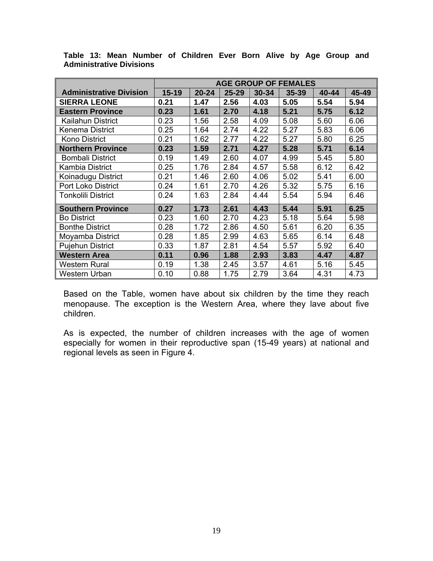|                                |           | <b>AGE GROUP OF FEMALES</b> |           |       |           |       |       |  |
|--------------------------------|-----------|-----------------------------|-----------|-------|-----------|-------|-------|--|
| <b>Administrative Division</b> | $15 - 19$ | $20 - 24$                   | $25 - 29$ | 30-34 | $35 - 39$ | 40-44 | 45-49 |  |
| <b>SIERRA LEONE</b>            | 0.21      | 1.47                        | 2.56      | 4.03  | 5.05      | 5.54  | 5.94  |  |
| <b>Eastern Province</b>        | 0.23      | 1.61                        | 2.70      | 4.18  | 5.21      | 5.75  | 6.12  |  |
| Kailahun District              | 0.23      | 1.56                        | 2.58      | 4.09  | 5.08      | 5.60  | 6.06  |  |
| Kenema District                | 0.25      | 1.64                        | 2.74      | 4.22  | 5.27      | 5.83  | 6.06  |  |
| Kono District                  | 0.21      | 1.62                        | 2.77      | 4.22  | 5.27      | 5.80  | 6.25  |  |
| <b>Northern Province</b>       | 0.23      | 1.59                        | 2.71      | 4.27  | 5.28      | 5.71  | 6.14  |  |
| <b>Bombali District</b>        | 0.19      | 1.49                        | 2.60      | 4.07  | 4.99      | 5.45  | 5.80  |  |
| Kambia District                | 0.25      | 1.76                        | 2.84      | 4.57  | 5.58      | 6.12  | 6.42  |  |
| Koinadugu District             | 0.21      | 1.46                        | 2.60      | 4.06  | 5.02      | 5.41  | 6.00  |  |
| Port Loko District             | 0.24      | 1.61                        | 2.70      | 4.26  | 5.32      | 5.75  | 6.16  |  |
| Tonkolili District             | 0.24      | 1.63                        | 2.84      | 4.44  | 5.54      | 5.94  | 6.46  |  |
| <b>Southern Province</b>       | 0.27      | 1.73                        | 2.61      | 4.43  | 5.44      | 5.91  | 6.25  |  |
| <b>Bo District</b>             | 0.23      | 1.60                        | 2.70      | 4.23  | 5.18      | 5.64  | 5.98  |  |
| <b>Bonthe District</b>         | 0.28      | 1.72                        | 2.86      | 4.50  | 5.61      | 6.20  | 6.35  |  |
| Moyamba District               | 0.28      | 1.85                        | 2.99      | 4.63  | 5.65      | 6.14  | 6.48  |  |
| <b>Pujehun District</b>        | 0.33      | 1.87                        | 2.81      | 4.54  | 5.57      | 5.92  | 6.40  |  |
| <b>Western Area</b>            | 0.11      | 0.96                        | 1.88      | 2.93  | 3.83      | 4.47  | 4.87  |  |
| <b>Western Rural</b>           | 0.19      | 1.38                        | 2.45      | 3.57  | 4.61      | 5.16  | 5.45  |  |
| Western Urban                  | 0.10      | 0.88                        | 1.75      | 2.79  | 3.64      | 4.31  | 4.73  |  |

**Table 13: Mean Number of Children Ever Born Alive by Age Group and Administrative Divisions** 

Based on the Table, women have about six children by the time they reach menopause. The exception is the Western Area, where they lave about five children.

As is expected, the number of children increases with the age of women especially for women in their reproductive span (15-49 years) at national and regional levels as seen in Figure 4.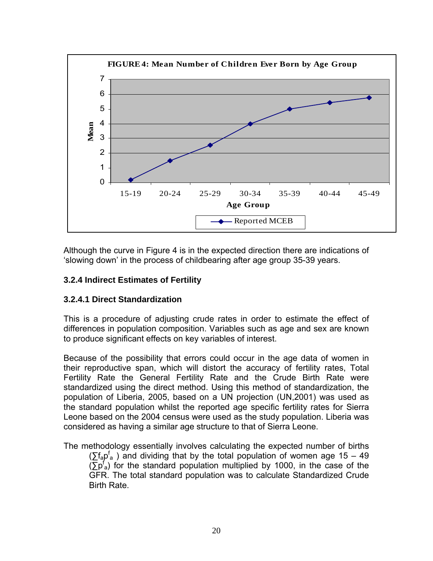

Although the curve in Figure 4 is in the expected direction there are indications of 'slowing down' in the process of childbearing after age group 35-39 years.

#### **3.2.4 Indirect Estimates of Fertility**

#### **3.2.4.1 Direct Standardization**

This is a procedure of adjusting crude rates in order to estimate the effect of differences in population composition. Variables such as age and sex are known to produce significant effects on key variables of interest.

Because of the possibility that errors could occur in the age data of women in their reproductive span, which will distort the accuracy of fertility rates, Total Fertility Rate the General Fertility Rate and the Crude Birth Rate were standardized using the direct method. Using this method of standardization, the population of Liberia, 2005, based on a UN projection (UN,2001) was used as the standard population whilst the reported age specific fertility rates for Sierra Leone based on the 2004 census were used as the study population. Liberia was considered as having a similar age structure to that of Sierra Leone.

The methodology essentially involves calculating the expected number of births  $(\sum f_a p^f_a)$  and dividing that by the total population of women age 15 – 49  $(\overline{\Sigma}p^f_a)$  for the standard population multiplied by 1000, in the case of the GFR. The total standard population was to calculate Standardized Crude Birth Rate.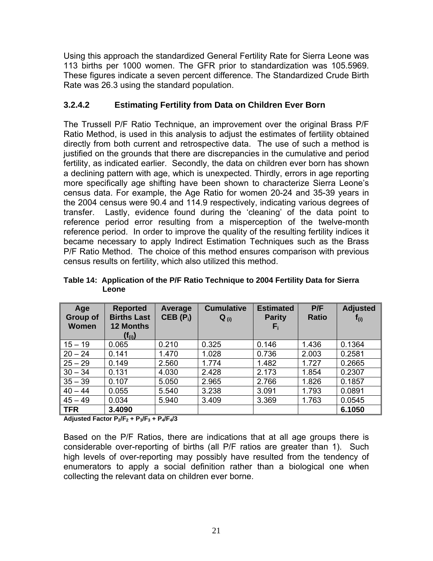Using this approach the standardized General Fertility Rate for Sierra Leone was 113 births per 1000 women. The GFR prior to standardization was 105.5969. These figures indicate a seven percent difference. The Standardized Crude Birth Rate was 26.3 using the standard population.

#### **3.2.4.2 Estimating Fertility from Data on Children Ever Born**

The Trussell P/F Ratio Technique, an improvement over the original Brass P/F Ratio Method, is used in this analysis to adjust the estimates of fertility obtained directly from both current and retrospective data. The use of such a method is justified on the grounds that there are discrepancies in the cumulative and period fertility, as indicated earlier. Secondly, the data on children ever born has shown a declining pattern with age, which is unexpected. Thirdly, errors in age reporting more specifically age shifting have been shown to characterize Sierra Leone's census data. For example, the Age Ratio for women 20-24 and 35-39 years in the 2004 census were 90.4 and 114.9 respectively, indicating various degrees of transfer. Lastly, evidence found during the 'cleaning' of the data point to reference period error resulting from a misperception of the twelve-month reference period. In order to improve the quality of the resulting fertility indices it became necessary to apply Indirect Estimation Techniques such as the Brass P/F Ratio Method. The choice of this method ensures comparison with previous census results on fertility, which also utilized this method.

| Age<br>Group of<br><b>Women</b> | <b>Reported</b><br><b>Births Last</b><br><b>12 Months</b><br>$(f_{(i)})$ | Average<br>$CEB(P_i)$ | <b>Cumulative</b><br>$Q_{(i)}$ | <b>Estimated</b><br><b>Parity</b><br>$\mathsf{F}_{\rm i}$ | P/F<br><b>Ratio</b> | <b>Adjusted</b><br>$f_{(i)}$ |
|---------------------------------|--------------------------------------------------------------------------|-----------------------|--------------------------------|-----------------------------------------------------------|---------------------|------------------------------|
| $15 - 19$                       | 0.065                                                                    | 0.210                 | 0.325                          | 0.146                                                     | 1.436               | 0.1364                       |
| $20 - 24$                       | 0.141                                                                    | 1.470                 | 1.028                          | 0.736                                                     | 2.003               | 0.2581                       |
| $25 - 29$                       | 0.149                                                                    | 2.560                 | 1.774                          | 1.482                                                     | 1.727               | 0.2665                       |
| $30 - 34$                       | 0.131                                                                    | 4.030                 | 2.428                          | 2.173                                                     | 1.854               | 0.2307                       |
| $35 - 39$                       | 0.107                                                                    | 5.050                 | 2.965                          | 2.766                                                     | 1.826               | 0.1857                       |
| $40 - 44$                       | 0.055                                                                    | 5.540                 | 3.238                          | 3.091                                                     | 1.793               | 0.0891                       |
| $45 - 49$                       | 0.034                                                                    | 5.940                 | 3.409                          | 3.369                                                     | 1.763               | 0.0545                       |
| <b>TFR</b><br>.                 | 3.4090<br>- -                                                            | - - -                 |                                |                                                           |                     | 6.1050                       |

**Table 14: Application of the P/F Ratio Technique to 2004 Fertility Data for Sierra Leone** 

**Adjusted Factor P2/F2 + P3/F3 + P4/F4/3** 

Based on the P/F Ratios, there are indications that at all age groups there is considerable over-reporting of births (all P/F ratios are greater than 1). Such high levels of over-reporting may possibly have resulted from the tendency of enumerators to apply a social definition rather than a biological one when collecting the relevant data on children ever borne.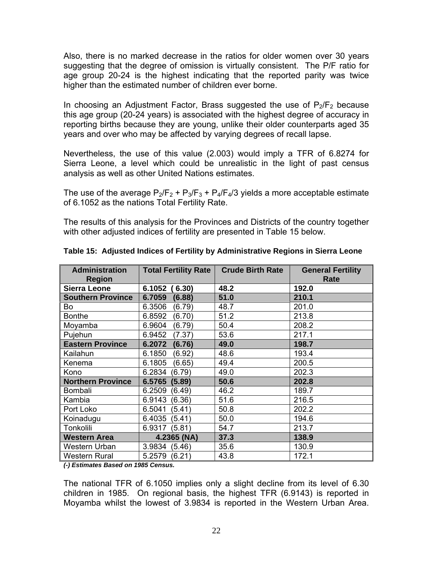Also, there is no marked decrease in the ratios for older women over 30 years suggesting that the degree of omission is virtually consistent. The P/F ratio for age group 20-24 is the highest indicating that the reported parity was twice higher than the estimated number of children ever borne.

In choosing an Adjustment Factor, Brass suggested the use of  $P_2/F_2$  because this age group (20-24 years) is associated with the highest degree of accuracy in reporting births because they are young, unlike their older counterparts aged 35 years and over who may be affected by varying degrees of recall lapse.

Nevertheless, the use of this value (2.003) would imply a TFR of 6.8274 for Sierra Leone, a level which could be unrealistic in the light of past census analysis as well as other United Nations estimates.

The use of the average  $P_2/F_2 + P_3/F_3 + P_4/F_4/3$  yields a more acceptable estimate of 6.1052 as the nations Total Fertility Rate.

The results of this analysis for the Provinces and Districts of the country together with other adjusted indices of fertility are presented in Table 15 below.

| <b>Administration</b><br><b>Region</b> | <b>Total Fertility Rate</b> | <b>Crude Birth Rate</b> | <b>General Fertility</b><br>Rate |
|----------------------------------------|-----------------------------|-------------------------|----------------------------------|
| <b>Sierra Leone</b>                    | 6.1052<br>(6.30)            | 48.2                    | 192.0                            |
| <b>Southern Province</b>               | 6.7059<br>(6.88)            | 51.0                    | 210.1                            |
| Bo                                     | 6.3506<br>(6.79)            | 48.7                    | 201.0                            |
| <b>Bonthe</b>                          | 6.8592<br>(6.70)            | 51.2                    | 213.8                            |
| Moyamba                                | 6.9604<br>(6.79)            | 50.4                    | 208.2                            |
| Pujehun                                | (7.37)<br>6.9452            | 53.6                    | 217.1                            |
| <b>Eastern Province</b>                | 6.2072<br>(6.76)            | 49.0                    | 198.7                            |
| Kailahun                               | 6.1850<br>(6.92)            | 48.6                    | 193.4                            |
| Kenema                                 | 6.1805<br>(6.65)            | 49.4                    | 200.5                            |
| Kono                                   | 6.2834<br>(6.79)            | 49.0                    | 202.3                            |
| <b>Northern Province</b>               | 6.5765<br>(5.89)            | 50.6                    | 202.8                            |
| Bombali                                | 6.2509<br>(6.49)            | 46.2                    | 189.7                            |
| Kambia                                 | (6.36)<br>6.9143            | 51.6                    | 216.5                            |
| Port Loko                              | 6.5041<br>(5.41)            | 50.8                    | 202.2                            |
| Koinadugu                              | 6.4035<br>(5.41)            | 50.0                    | 194.6                            |
| Tonkolili                              | 6.9317<br>(5.81)            | 54.7                    | 213.7                            |
| <b>Western Area</b>                    | 4.2365 (NA)                 | 37.3                    | 138.9                            |
| <b>Western Urban</b>                   | 3.9834<br>(5.46)            | 35.6                    | 130.9                            |
| <b>Western Rural</b>                   | 5.2579<br>(6.21)            | 43.8                    | 172.1                            |

| Table 15: Adjusted Indices of Fertility by Administrative Regions in Sierra Leone |  |  |
|-----------------------------------------------------------------------------------|--|--|
|                                                                                   |  |  |

*(-) Estimates Based on 1985 Census.* 

The national TFR of 6.1050 implies only a slight decline from its level of 6.30 children in 1985. On regional basis, the highest TFR (6.9143) is reported in Moyamba whilst the lowest of 3.9834 is reported in the Western Urban Area.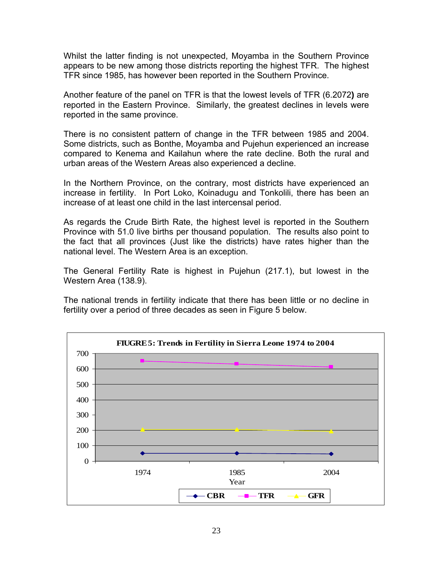Whilst the latter finding is not unexpected, Moyamba in the Southern Province appears to be new among those districts reporting the highest TFR. The highest TFR since 1985, has however been reported in the Southern Province.

Another feature of the panel on TFR is that the lowest levels of TFR (6.2072**)** are reported in the Eastern Province. Similarly, the greatest declines in levels were reported in the same province.

There is no consistent pattern of change in the TFR between 1985 and 2004. Some districts, such as Bonthe, Moyamba and Pujehun experienced an increase compared to Kenema and Kailahun where the rate decline. Both the rural and urban areas of the Western Areas also experienced a decline.

In the Northern Province, on the contrary, most districts have experienced an increase in fertility. In Port Loko, Koinadugu and Tonkolili, there has been an increase of at least one child in the last intercensal period.

As regards the Crude Birth Rate, the highest level is reported in the Southern Province with 51.0 live births per thousand population. The results also point to the fact that all provinces (Just like the districts) have rates higher than the national level. The Western Area is an exception.

The General Fertility Rate is highest in Pujehun (217.1), but lowest in the Western Area (138.9).

The national trends in fertility indicate that there has been little or no decline in fertility over a period of three decades as seen in Figure 5 below.

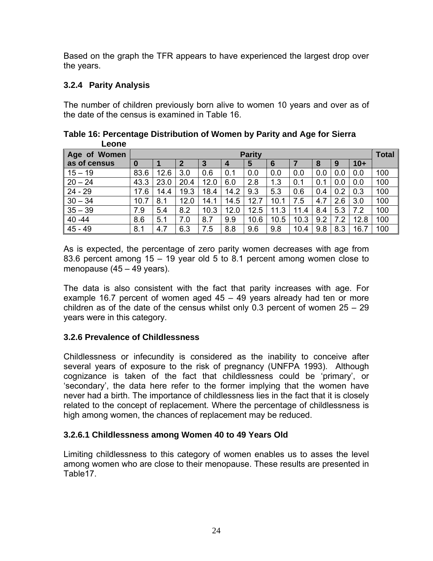Based on the graph the TFR appears to have experienced the largest drop over the years.

#### **3.2.4 Parity Analysis**

The number of children previously born alive to women 10 years and over as of the date of the census is examined in Table 16.

| Leone        |      |               |      |      |      |      |      |      |     |     |              |     |
|--------------|------|---------------|------|------|------|------|------|------|-----|-----|--------------|-----|
| Age of Women |      | <b>Parity</b> |      |      |      |      |      |      |     |     | <b>Total</b> |     |
| as of census | 0    |               | 2    | 3    | 4    | 5    | 6    |      | 8   | 9   | $10+$        |     |
| $15 - 19$    | 83.6 | 12.6          | 3.0  | 0.6  | 0.1  | 0.0  | 0.0  | 0.0  | 0.0 | 0.0 | 0.0          | 100 |
| $20 - 24$    | 43.3 | 23.0          | 20.4 | 12.0 | 6.0  | 2.8  | 1.3  | 0.1  | 0.1 | 0.0 | 0.0          | 100 |
| $24 - 29$    | 17.6 | 14.4          | 19.3 | 18.4 | 14.2 | 9.3  | 5.3  | 0.6  | 0.4 | 0.2 | 0.3          | 100 |
| $30 - 34$    | 10.7 | 8.1           | 12.0 | 14.1 | 14.5 | 12.7 | 10.1 | 7.5  | 4.7 | 2.6 | 3.0          | 100 |
| $35 - 39$    | 7.9  | 5.4           | 8.2  | 10.3 | 12.0 | 12.5 | 11.3 | 11.4 | 8.4 | 5.3 | 7.2          | 100 |
| $40 - 44$    | 8.6  | 5.1           | 7.0  | 8.7  | 9.9  | 10.6 | 10.5 | 10.3 | 9.2 | 7.2 | 12.8         | 100 |
| $45 - 49$    | 8.1  | 4.7           | 6.3  | 7.5  | 8.8  | 9.6  | 9.8  | 10.4 | 9.8 | 8.3 | 16.7         | 100 |

**Table 16: Percentage Distribution of Women by Parity and Age for Sierra Leone** 

As is expected, the percentage of zero parity women decreases with age from 83.6 percent among 15 – 19 year old 5 to 8.1 percent among women close to menopause (45 – 49 years).

The data is also consistent with the fact that parity increases with age. For example 16.7 percent of women aged 45 – 49 years already had ten or more children as of the date of the census whilst only 0.3 percent of women  $25 - 29$ years were in this category.

#### **3.2.6 Prevalence of Childlessness**

Childlessness or infecundity is considered as the inability to conceive after several years of exposure to the risk of pregnancy (UNFPA 1993). Although cognizance is taken of the fact that childlessness could be 'primary', or 'secondary', the data here refer to the former implying that the women have never had a birth. The importance of childlessness lies in the fact that it is closely related to the concept of replacement. Where the percentage of childlessness is high among women, the chances of replacement may be reduced.

#### **3.2.6.1 Childlessness among Women 40 to 49 Years Old**

Limiting childlessness to this category of women enables us to asses the level among women who are close to their menopause. These results are presented in Table17.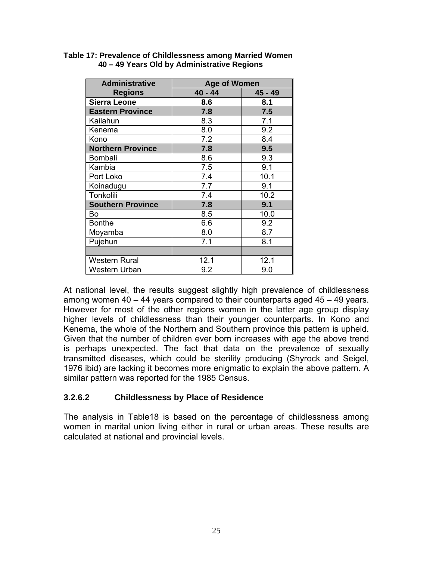| <b>Administrative</b>    | <b>Age of Women</b> |           |  |  |  |  |
|--------------------------|---------------------|-----------|--|--|--|--|
| <b>Regions</b>           | $40 - 44$           | $45 - 49$ |  |  |  |  |
| <b>Sierra Leone</b>      | 8.6                 | 8.1       |  |  |  |  |
| <b>Eastern Province</b>  | 7.8                 | 7.5       |  |  |  |  |
| Kailahun                 | 8.3                 | 7.1       |  |  |  |  |
| Kenema                   | 8.0                 | 9.2       |  |  |  |  |
| Kono                     | 7.2                 | 8.4       |  |  |  |  |
| <b>Northern Province</b> | 7.8                 | 9.5       |  |  |  |  |
| <b>Bombali</b>           | 8.6                 | 9.3       |  |  |  |  |
| Kambia                   | 7.5                 | 9.1       |  |  |  |  |
| Port Loko                | 7.4                 | 10.1      |  |  |  |  |
| Koinadugu                | 7.7                 | 9.1       |  |  |  |  |
| Tonkolili                | 7.4                 | 10.2      |  |  |  |  |
| <b>Southern Province</b> | 7.8                 | 9.1       |  |  |  |  |
| Bo                       | 8.5                 | 10.0      |  |  |  |  |
| <b>Bonthe</b>            | 6.6                 | 9.2       |  |  |  |  |
| Moyamba                  | 8.0                 | 8.7       |  |  |  |  |
| Pujehun                  | 7.1                 | 8.1       |  |  |  |  |
|                          |                     |           |  |  |  |  |
| <b>Western Rural</b>     | 12.1                | 12.1      |  |  |  |  |
| Western Urban            | 9.2                 | 9.0       |  |  |  |  |

#### **Table 17: Prevalence of Childlessness among Married Women 40 – 49 Years Old by Administrative Regions**

At national level, the results suggest slightly high prevalence of childlessness among women 40 – 44 years compared to their counterparts aged 45 – 49 years. However for most of the other regions women in the latter age group display higher levels of childlessness than their younger counterparts. In Kono and Kenema, the whole of the Northern and Southern province this pattern is upheld. Given that the number of children ever born increases with age the above trend is perhaps unexpected. The fact that data on the prevalence of sexually transmitted diseases, which could be sterility producing (Shyrock and Seigel, 1976 ibid) are lacking it becomes more enigmatic to explain the above pattern. A similar pattern was reported for the 1985 Census.

#### **3.2.6.2 Childlessness by Place of Residence**

The analysis in Table18 is based on the percentage of childlessness among women in marital union living either in rural or urban areas. These results are calculated at national and provincial levels.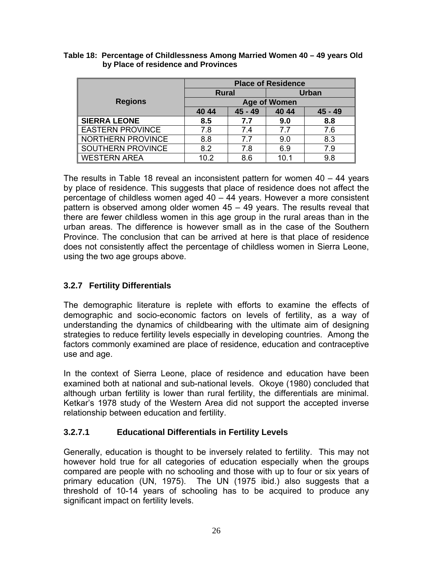|                     | <b>Place of Residence</b> |           |                     |              |  |  |  |
|---------------------|---------------------------|-----------|---------------------|--------------|--|--|--|
|                     | Rural                     |           |                     | <b>Urban</b> |  |  |  |
| <b>Regions</b>      |                           |           | <b>Age of Women</b> |              |  |  |  |
|                     | 40 44                     | $45 - 49$ | 40 44<br>$45 - 49$  |              |  |  |  |
| <b>SIERRA LEONE</b> | 8.5                       | 7.7       | 9.0                 | 8.8          |  |  |  |
| EASTERN PROVINCE    | 7.8                       | 7.4       | 7.7                 | 7.6          |  |  |  |
| NORTHERN PROVINCE   | 8.8                       | 77        | 9.0                 | 8.3          |  |  |  |
| SOUTHERN PROVINCE   | 8.2                       | 7.8       | 6.9                 | 7.9          |  |  |  |
| <b>WESTERN AREA</b> | 10.2                      | 8.6       | 10.1                | 9.8          |  |  |  |

**Table 18: Percentage of Childlessness Among Married Women 40 – 49 years Old by Place of residence and Provinces** 

The results in Table 18 reveal an inconsistent pattern for women 40 – 44 years by place of residence. This suggests that place of residence does not affect the percentage of childless women aged 40 – 44 years. However a more consistent pattern is observed among older women 45 – 49 years. The results reveal that there are fewer childless women in this age group in the rural areas than in the urban areas. The difference is however small as in the case of the Southern Province. The conclusion that can be arrived at here is that place of residence does not consistently affect the percentage of childless women in Sierra Leone, using the two age groups above.

#### **3.2.7 Fertility Differentials**

The demographic literature is replete with efforts to examine the effects of demographic and socio-economic factors on levels of fertility, as a way of understanding the dynamics of childbearing with the ultimate aim of designing strategies to reduce fertility levels especially in developing countries. Among the factors commonly examined are place of residence, education and contraceptive use and age.

In the context of Sierra Leone, place of residence and education have been examined both at national and sub-national levels. Okoye (1980) concluded that although urban fertility is lower than rural fertility, the differentials are minimal. Ketkar's 1978 study of the Western Area did not support the accepted inverse relationship between education and fertility.

#### **3.2.7.1 Educational Differentials in Fertility Levels**

Generally, education is thought to be inversely related to fertility. This may not however hold true for all categories of education especially when the groups compared are people with no schooling and those with up to four or six years of primary education (UN, 1975). The UN (1975 ibid.) also suggests that a threshold of 10-14 years of schooling has to be acquired to produce any significant impact on fertility levels.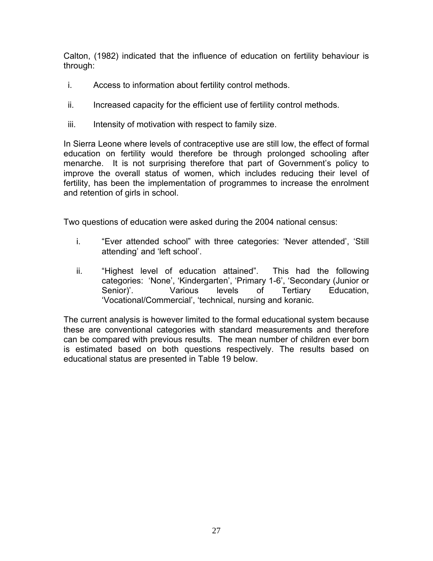Calton, (1982) indicated that the influence of education on fertility behaviour is through:

- i. Access to information about fertility control methods.
- ii. Increased capacity for the efficient use of fertility control methods.
- iii. Intensity of motivation with respect to family size.

In Sierra Leone where levels of contraceptive use are still low, the effect of formal education on fertility would therefore be through prolonged schooling after menarche. It is not surprising therefore that part of Government's policy to improve the overall status of women, which includes reducing their level of fertility, has been the implementation of programmes to increase the enrolment and retention of girls in school.

Two questions of education were asked during the 2004 national census:

- i. "Ever attended school" with three categories: 'Never attended', 'Still attending' and 'left school'.
- ii. "Highest level of education attained". This had the following categories: 'None', 'Kindergarten', 'Primary 1-6', 'Secondary (Junior or Senior)'. Various levels of Tertiary Education, 'Vocational/Commercial', 'technical, nursing and koranic.

The current analysis is however limited to the formal educational system because these are conventional categories with standard measurements and therefore can be compared with previous results. The mean number of children ever born is estimated based on both questions respectively. The results based on educational status are presented in Table 19 below.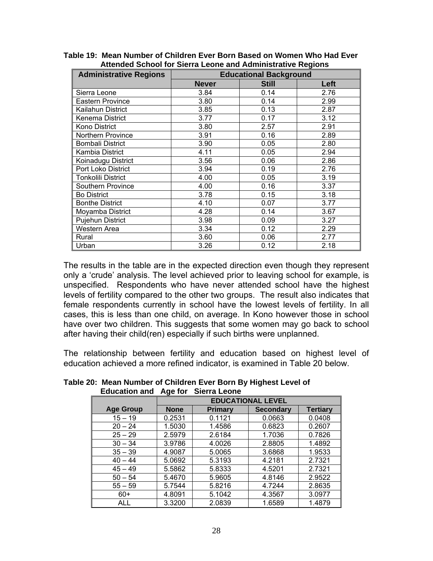| tonaca concor for ciona Econo ana Aanimiiotratro Regiono<br><b>Administrative Regions</b> | <b>Educational Background</b> |              |      |  |  |  |  |
|-------------------------------------------------------------------------------------------|-------------------------------|--------------|------|--|--|--|--|
|                                                                                           | <b>Never</b>                  | <b>Still</b> | Left |  |  |  |  |
| Sierra Leone                                                                              | 3.84                          | 0.14         | 2.76 |  |  |  |  |
| <b>Eastern Province</b>                                                                   | 3.80                          | 0.14         | 2.99 |  |  |  |  |
| Kailahun District                                                                         | 3.85                          | 0.13         | 2.87 |  |  |  |  |
| Kenema District                                                                           | 3.77                          | 0.17         | 3.12 |  |  |  |  |
| Kono District                                                                             | 3.80                          | 2.57         | 2.91 |  |  |  |  |
| Northern Province                                                                         | 3.91                          | 0.16         | 2.89 |  |  |  |  |
| <b>Bombali District</b>                                                                   | 3.90                          | 0.05         | 2.80 |  |  |  |  |
| Kambia District                                                                           | 4.11                          | 0.05         | 2.94 |  |  |  |  |
| Koinadugu District                                                                        | 3.56                          | 0.06         | 2.86 |  |  |  |  |
| Port Loko District                                                                        | 3.94                          | 0.19         | 2.76 |  |  |  |  |
| Tonkolili District                                                                        | 4.00                          | 0.05         | 3.19 |  |  |  |  |
| Southern Province                                                                         | 4.00                          | 0.16         | 3.37 |  |  |  |  |
| <b>Bo District</b>                                                                        | 3.78                          | 0.15         | 3.18 |  |  |  |  |
| <b>Bonthe District</b>                                                                    | 4.10                          | 0.07         | 3.77 |  |  |  |  |
| Moyamba District                                                                          | 4.28                          | 0.14         | 3.67 |  |  |  |  |
| <b>Pujehun District</b>                                                                   | 3.98                          | 0.09         | 3.27 |  |  |  |  |
| Western Area                                                                              | 3.34                          | 0.12         | 2.29 |  |  |  |  |
| Rural                                                                                     | 3.60                          | 0.06         | 2.77 |  |  |  |  |
| Urban                                                                                     | 3.26                          | 0.12         | 2.18 |  |  |  |  |

**Table 19: Mean Number of Children Ever Born Based on Women Who Had Ever Attended School for Sierra Leone and Administrative Regions** 

The results in the table are in the expected direction even though they represent only a 'crude' analysis. The level achieved prior to leaving school for example, is unspecified. Respondents who have never attended school have the highest levels of fertility compared to the other two groups. The result also indicates that female respondents currently in school have the lowest levels of fertility. In all cases, this is less than one child, on average. In Kono however those in school have over two children. This suggests that some women may go back to school after having their child(ren) especially if such births were unplanned.

The relationship between fertility and education based on highest level of education achieved a more refined indicator, is examined in Table 20 below.

| Luuvauvii aliu   | Ayu IVI     | <b>OIGHT LUMIS</b>       |                  |                 |  |  |  |  |  |  |
|------------------|-------------|--------------------------|------------------|-----------------|--|--|--|--|--|--|
|                  |             | <b>EDUCATIONAL LEVEL</b> |                  |                 |  |  |  |  |  |  |
| <b>Age Group</b> | <b>None</b> | Primary                  | <b>Secondary</b> | <b>Tertiary</b> |  |  |  |  |  |  |
| $15 - 19$        | 0.2531      | 0.1121                   | 0.0663           | 0.0408          |  |  |  |  |  |  |
| $20 - 24$        | 1.5030      | 1.4586                   | 0.6823           | 0.2607          |  |  |  |  |  |  |
| $25 - 29$        | 2.5979      | 2.6184                   | 1.7036           | 0.7826          |  |  |  |  |  |  |
| $30 - 34$        | 3.9786      | 4.0026                   | 2.8805           | 1.4892          |  |  |  |  |  |  |
| $35 - 39$        | 4.9087      | 5.0065                   | 3.6868           | 1.9533          |  |  |  |  |  |  |
| $40 - 44$        | 5.0692      | 5.3193                   | 4.2181           | 2.7321          |  |  |  |  |  |  |
| $45 - 49$        | 5.5862      | 5.8333                   | 4.5201           | 2.7321          |  |  |  |  |  |  |
| $50 - 54$        | 5.4670      | 5.9605                   | 4.8146           | 2.9522          |  |  |  |  |  |  |
| $55 - 59$        | 5.7544      | 5.8216                   | 4.7244           | 2.8635          |  |  |  |  |  |  |
| $60+$            | 4.8091      | 5.1042                   | 4.3567           | 3.0977          |  |  |  |  |  |  |
| ALL              | 3.3200      | 2.0839                   | 1.6589           | 1.4879          |  |  |  |  |  |  |

**Table 20: Mean Number of Children Ever Born By Highest Level of Education and Age for Sierra Leone**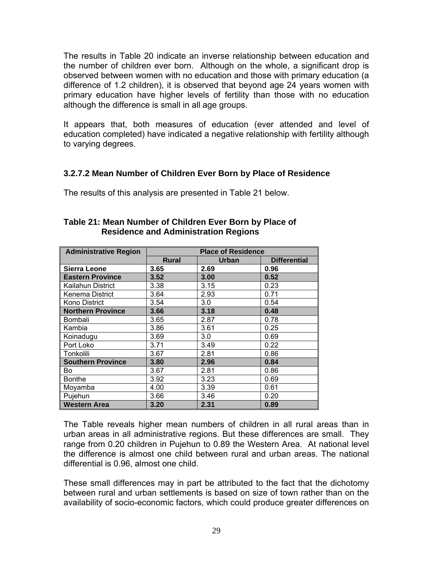The results in Table 20 indicate an inverse relationship between education and the number of children ever born. Although on the whole, a significant drop is observed between women with no education and those with primary education (a difference of 1.2 children), it is observed that beyond age 24 years women with primary education have higher levels of fertility than those with no education although the difference is small in all age groups.

It appears that, both measures of education (ever attended and level of education completed) have indicated a negative relationship with fertility although to varying degrees.

#### **3.2.7.2 Mean Number of Children Ever Born by Place of Residence**

The results of this analysis are presented in Table 21 below.

| <b>Administrative Region</b> | <b>Place of Residence</b> |       |                     |  |  |  |  |
|------------------------------|---------------------------|-------|---------------------|--|--|--|--|
|                              | <b>Rural</b>              | Urban | <b>Differential</b> |  |  |  |  |
| <b>Sierra Leone</b>          | 3.65                      | 2.69  | 0.96                |  |  |  |  |
| <b>Eastern Province</b>      | 3.52                      | 3.00  | 0.52                |  |  |  |  |
| Kailahun District            | 3.38                      | 3.15  | 0.23                |  |  |  |  |
| Kenema District              | 3.64                      | 2.93  | 0.71                |  |  |  |  |
| Kono District                | 3.54                      | 3.0   | 0.54                |  |  |  |  |
| <b>Northern Province</b>     | 3.66                      | 3.18  | 0.48                |  |  |  |  |
| Bombali                      | 3.65                      | 2.87  | 0.78                |  |  |  |  |
| Kambia                       | 3.86                      | 3.61  | 0.25                |  |  |  |  |
| Koinadugu                    | 3.69                      | 3.0   | 0.69                |  |  |  |  |
| Port Loko                    | 3.71                      | 3.49  | 0.22                |  |  |  |  |
| Tonkolili                    | 3.67                      | 2.81  | 0.86                |  |  |  |  |
| <b>Southern Province</b>     | 3.80                      | 2.96  | 0.84                |  |  |  |  |
| Bo                           | 3.67                      | 2.81  | 0.86                |  |  |  |  |
| <b>Bonthe</b>                | 3.92                      | 3.23  | 0.69                |  |  |  |  |
| Moyamba                      | 4.00                      | 3.39  | 0.61                |  |  |  |  |
| Pujehun                      | 3.66                      | 3.46  | 0.20                |  |  |  |  |
| <b>Western Area</b>          | 3.20                      | 2.31  | 0.89                |  |  |  |  |

#### **Table 21: Mean Number of Children Ever Born by Place of Residence and Administration Regions**

The Table reveals higher mean numbers of children in all rural areas than in urban areas in all administrative regions. But these differences are small. They range from 0.20 children in Pujehun to 0.89 the Western Area. At national level the difference is almost one child between rural and urban areas. The national differential is 0.96, almost one child.

These small differences may in part be attributed to the fact that the dichotomy between rural and urban settlements is based on size of town rather than on the availability of socio-economic factors, which could produce greater differences on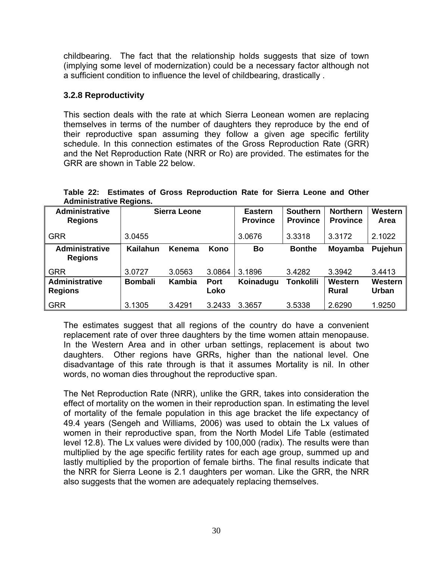childbearing. The fact that the relationship holds suggests that size of town (implying some level of modernization) could be a necessary factor although not a sufficient condition to influence the level of childbearing, drastically .

#### **3.2.8 Reproductivity**

This section deals with the rate at which Sierra Leonean women are replacing themselves in terms of the number of daughters they reproduce by the end of their reproductive span assuming they follow a given age specific fertility schedule. In this connection estimates of the Gross Reproduction Rate (GRR) and the Net Reproduction Rate (NRR or Ro) are provided. The estimates for the GRR are shown in Table 22 below.

| Aummonauve Regions.                     |                 |                     |                     |                                   |                                    |                                    |                   |
|-----------------------------------------|-----------------|---------------------|---------------------|-----------------------------------|------------------------------------|------------------------------------|-------------------|
| <b>Administrative</b><br><b>Regions</b> |                 | <b>Sierra Leone</b> |                     | <b>Eastern</b><br><b>Province</b> | <b>Southern</b><br><b>Province</b> | <b>Northern</b><br><b>Province</b> | Western  <br>Area |
| <b>GRR</b>                              | 3.0455          |                     |                     | 3.0676                            | 3.3318                             | 3.3172                             | 2.1022            |
| <b>Administrative</b><br><b>Regions</b> | <b>Kailahun</b> | Kenema              | Kono                | Bo                                | <b>Bonthe</b>                      | Moyamba                            | Pujehun           |
| <b>GRR</b>                              | 3.0727          | 3.0563              | 3.0864              | 3.1896                            | 3.4282                             | 3.3942                             | 3.4413            |
| <b>Administrative</b><br><b>Regions</b> | <b>Bombali</b>  | Kambia              | <b>Port</b><br>Loko | Koinadugu                         | Tonkolili                          | Western<br><b>Rural</b>            | Western<br>Urban  |
| <b>GRR</b>                              | 3.1305          | 3.4291              | 3.2433              | 3.3657                            | 3.5338                             | 2.6290                             | 1.9250            |

|  |                                |  | Table 22: Estimates of Gross Reproduction Rate for Sierra Leone and Other |  |  |  |
|--|--------------------------------|--|---------------------------------------------------------------------------|--|--|--|
|  | <b>Administrative Regions.</b> |  |                                                                           |  |  |  |
|  |                                |  |                                                                           |  |  |  |

The estimates suggest that all regions of the country do have a convenient replacement rate of over three daughters by the time women attain menopause. In the Western Area and in other urban settings, replacement is about two daughters. Other regions have GRRs, higher than the national level. One disadvantage of this rate through is that it assumes Mortality is nil. In other words, no woman dies throughout the reproductive span.

The Net Reproduction Rate (NRR), unlike the GRR, takes into consideration the effect of mortality on the women in their reproduction span. In estimating the level of mortality of the female population in this age bracket the life expectancy of 49.4 years (Sengeh and Williams, 2006) was used to obtain the Lx values of women in their reproductive span, from the North Model Life Table (estimated level 12.8). The Lx values were divided by 100,000 (radix). The results were than multiplied by the age specific fertility rates for each age group, summed up and lastly multiplied by the proportion of female births. The final results indicate that the NRR for Sierra Leone is 2.1 daughters per woman. Like the GRR, the NRR also suggests that the women are adequately replacing themselves.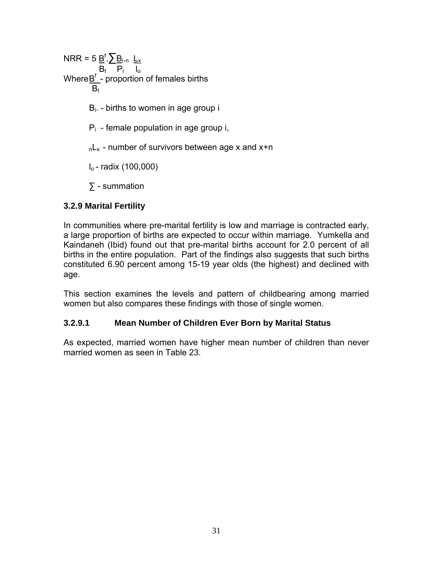NRR = 5 Bf .∑Bi.n Lx  $B_t$   $P_i$   $I_o$ Where $\underline{\mathsf{B}}^{\mathsf{f}}$  - proportion of females births  $B_t$  $B<sub>i</sub>$ . - births to women in age group i  $P_i$  - female population in age group i,  $nL_x$  - number of survivors between age x and x+n  $I_0$ - radix (100,000) ∑ - summation

#### **3.2.9 Marital Fertility**

In communities where pre-marital fertility is low and marriage is contracted early, a large proportion of births are expected to occur within marriage. Yumkella and Kaindaneh (Ibid) found out that pre-marital births account for 2.0 percent of all births in the entire population. Part of the findings also suggests that such births constituted 6.90 percent among 15-19 year olds (the highest) and declined with age.

This section examines the levels and pattern of childbearing among married women but also compares these findings with those of single women.

#### **3.2.9.1 Mean Number of Children Ever Born by Marital Status**

As expected, married women have higher mean number of children than never married women as seen in Table 23.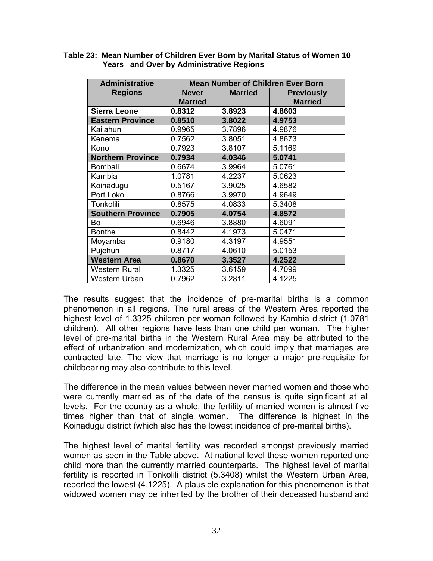| <b>Administrative</b>    | <b>Mean Number of Children Ever Born</b> |                |                                     |  |  |  |  |
|--------------------------|------------------------------------------|----------------|-------------------------------------|--|--|--|--|
| <b>Regions</b>           | <b>Never</b><br><b>Married</b>           | <b>Married</b> | <b>Previously</b><br><b>Married</b> |  |  |  |  |
| <b>Sierra Leone</b>      | 0.8312                                   | 3.8923         | 4.8603                              |  |  |  |  |
| <b>Eastern Province</b>  | 0.8510                                   | 3.8022         | 4.9753                              |  |  |  |  |
| Kailahun                 | 0.9965                                   | 3.7896         | 4.9876                              |  |  |  |  |
| Kenema                   | 0.7562                                   | 3.8051         | 4.8673                              |  |  |  |  |
| Kono                     | 0.7923                                   | 3.8107         | 5.1169                              |  |  |  |  |
| <b>Northern Province</b> | 0.7934                                   | 4.0346         | 5.0741                              |  |  |  |  |
| <b>Bombali</b>           | 0.6674                                   | 3.9964         | 5.0761                              |  |  |  |  |
| Kambia                   | 1.0781                                   | 4.2237         | 5.0623                              |  |  |  |  |
| Koinadugu                | 0.5167                                   | 3.9025         | 4.6582                              |  |  |  |  |
| Port Loko                | 0.8766                                   | 3.9970         | 4.9649                              |  |  |  |  |
| Tonkolili                | 0.8575                                   | 4.0833         | 5.3408                              |  |  |  |  |
| <b>Southern Province</b> | 0.7905                                   | 4.0754         | 4.8572                              |  |  |  |  |
| Bo                       | 0.6946                                   | 3.8880         | 4.6091                              |  |  |  |  |
| <b>Bonthe</b>            | 0.8442                                   | 4.1973         | 5.0471                              |  |  |  |  |
| Moyamba                  | 0.9180                                   | 4.3197         | 4.9551                              |  |  |  |  |
| Pujehun                  | 0.8717                                   | 4.0610         | 5.0153                              |  |  |  |  |
| <b>Western Area</b>      | 0.8670                                   | 3.3527         | 4.2522                              |  |  |  |  |
| <b>Western Rural</b>     | 1.3325                                   | 3.6159         | 4.7099                              |  |  |  |  |
| Western Urban            | 0.7962                                   | 3.2811         | 4.1225                              |  |  |  |  |

**Table 23: Mean Number of Children Ever Born by Marital Status of Women 10 Years and Over by Administrative Regions** 

The results suggest that the incidence of pre-marital births is a common phenomenon in all regions. The rural areas of the Western Area reported the highest level of 1.3325 children per woman followed by Kambia district (1.0781 children). All other regions have less than one child per woman. The higher level of pre-marital births in the Western Rural Area may be attributed to the effect of urbanization and modernization, which could imply that marriages are contracted late. The view that marriage is no longer a major pre-requisite for childbearing may also contribute to this level.

The difference in the mean values between never married women and those who were currently married as of the date of the census is quite significant at all levels. For the country as a whole, the fertility of married women is almost five times higher than that of single women. The difference is highest in the Koinadugu district (which also has the lowest incidence of pre-marital births).

The highest level of marital fertility was recorded amongst previously married women as seen in the Table above. At national level these women reported one child more than the currently married counterparts. The highest level of marital fertility is reported in Tonkolili district (5.3408) whilst the Western Urban Area, reported the lowest (4.1225). A plausible explanation for this phenomenon is that widowed women may be inherited by the brother of their deceased husband and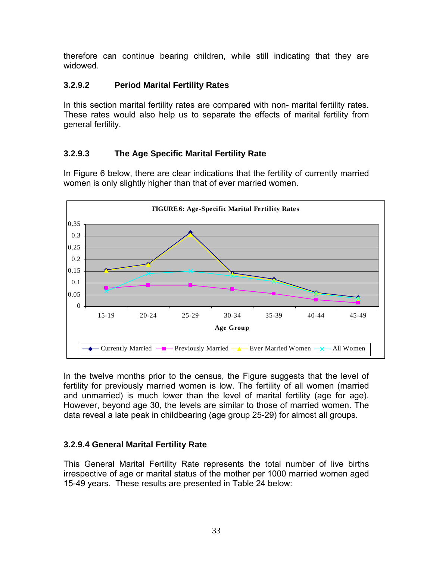therefore can continue bearing children, while still indicating that they are widowed.

#### **3.2.9.2 Period Marital Fertility Rates**

In this section marital fertility rates are compared with non- marital fertility rates. These rates would also help us to separate the effects of marital fertility from general fertility.

#### **3.2.9.3 The Age Specific Marital Fertility Rate**

In Figure 6 below, there are clear indications that the fertility of currently married women is only slightly higher than that of ever married women.



In the twelve months prior to the census, the Figure suggests that the level of fertility for previously married women is low. The fertility of all women (married and unmarried) is much lower than the level of marital fertility (age for age). However, beyond age 30, the levels are similar to those of married women. The data reveal a late peak in childbearing (age group 25-29) for almost all groups.

#### **3.2.9.4 General Marital Fertility Rate**

This General Marital Fertility Rate represents the total number of live births irrespective of age or marital status of the mother per 1000 married women aged 15-49 years. These results are presented in Table 24 below: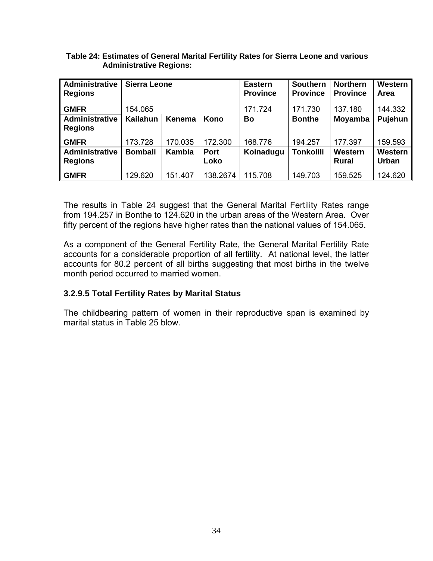#### **Table 24: Estimates of General Marital Fertility Rates for Sierra Leone and various Administrative Regions:**

| <b>Administrative</b><br><b>Regions</b> | <b>Sierra Leone</b> |               |             | <b>Eastern</b><br><b>Province</b> | <b>Southern</b><br><b>Province</b> | <b>Northern</b><br><b>Province</b> | Western<br>Area |
|-----------------------------------------|---------------------|---------------|-------------|-----------------------------------|------------------------------------|------------------------------------|-----------------|
| <b>GMFR</b>                             | 154.065             |               | 171.724     | 171.730                           | 137.180                            | 144.332                            |                 |
| <b>Administrative</b>                   | <b>Kailahun</b>     | Kenema        | Kono        | Bo                                | <b>Bonthe</b>                      | Moyamba                            | Pujehun         |
| <b>Regions</b>                          |                     |               |             |                                   |                                    |                                    |                 |
| <b>GMFR</b>                             | 173.728             | 170.035       | 172.300     | 168.776                           | 194.257                            | 177.397                            | 159.593         |
| <b>Administrative</b>                   | <b>Bombali</b>      | <b>Kambia</b> | <b>Port</b> | Koinadugu                         | <b>Tonkolili</b>                   | Western                            | Western         |
| <b>Regions</b>                          |                     |               | Loko        |                                   |                                    | <b>Rural</b>                       | <b>Urban</b>    |
| <b>GMFR</b>                             | 129.620             | 151.407       | 138.2674    | 115.708                           | 149.703                            | 159.525                            | 124.620         |

The results in Table 24 suggest that the General Marital Fertility Rates range from 194.257 in Bonthe to 124.620 in the urban areas of the Western Area. Over fifty percent of the regions have higher rates than the national values of 154.065.

As a component of the General Fertility Rate, the General Marital Fertility Rate accounts for a considerable proportion of all fertility. At national level, the latter accounts for 80.2 percent of all births suggesting that most births in the twelve month period occurred to married women.

#### **3.2.9.5 Total Fertility Rates by Marital Status**

The childbearing pattern of women in their reproductive span is examined by marital status in Table 25 blow.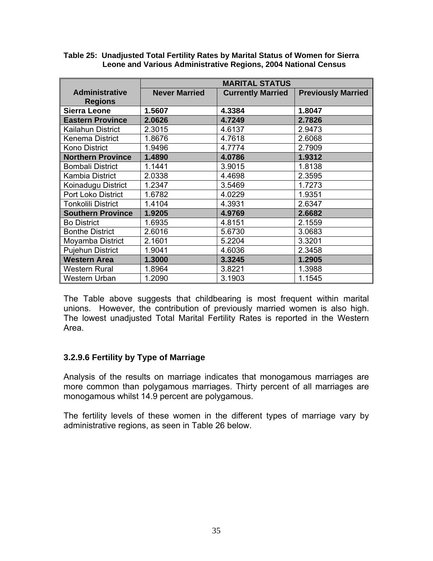|                                         | <b>MARITAL STATUS</b> |                          |                           |  |  |
|-----------------------------------------|-----------------------|--------------------------|---------------------------|--|--|
| <b>Administrative</b><br><b>Regions</b> | <b>Never Married</b>  | <b>Currently Married</b> | <b>Previously Married</b> |  |  |
| <b>Sierra Leone</b>                     | 1.5607                | 4.3384                   | 1.8047                    |  |  |
| <b>Eastern Province</b>                 | 2.0626                | 4.7249                   | 2.7826                    |  |  |
| Kailahun District                       | 2.3015                | 4.6137                   | 2.9473                    |  |  |
| Kenema District                         | 1.8676                | 4.7618                   | 2.6068                    |  |  |
| <b>Kono District</b>                    | 1.9496                | 4.7774                   | 2.7909                    |  |  |
| <b>Northern Province</b>                | 1.4890                | 4.0786                   | 1.9312                    |  |  |
| <b>Bombali District</b>                 | 1.1441                | 3.9015                   | 1.8138                    |  |  |
| <b>Kambia District</b>                  | 2.0338                | 4.4698                   | 2.3595                    |  |  |
| Koinadugu District                      | 1.2347                | 3.5469                   | 1.7273                    |  |  |
| <b>Port Loko District</b>               | 1.6782                | 4.0229                   | 1.9351                    |  |  |
| <b>Tonkolili District</b>               | 1.4104                | 4.3931                   | 2.6347                    |  |  |
| <b>Southern Province</b>                | 1.9205                | 4.9769                   | 2.6682                    |  |  |
| <b>Bo District</b>                      | 1.6935                | 4.8151                   | 2.1559                    |  |  |
| <b>Bonthe District</b>                  | 2.6016                | 5.6730                   | 3.0683                    |  |  |
| Moyamba District                        | 2.1601                | 5.2204                   | 3.3201                    |  |  |
| <b>Pujehun District</b>                 | 1.9041                | 4.6036                   | 2.3458                    |  |  |
| <b>Western Area</b>                     | 1.3000                | 3.3245                   | 1.2905                    |  |  |
| <b>Western Rural</b>                    | 1.8964                | 3.8221                   | 1.3988                    |  |  |
| Western Urban                           | 1.2090                | 3.1903                   | 1.1545                    |  |  |

#### **Table 25: Unadjusted Total Fertility Rates by Marital Status of Women for Sierra Leone and Various Administrative Regions, 2004 National Census**

The Table above suggests that childbearing is most frequent within marital unions. However, the contribution of previously married women is also high. The lowest unadjusted Total Marital Fertility Rates is reported in the Western Area.

#### **3.2.9.6 Fertility by Type of Marriage**

Analysis of the results on marriage indicates that monogamous marriages are more common than polygamous marriages. Thirty percent of all marriages are monogamous whilst 14.9 percent are polygamous.

The fertility levels of these women in the different types of marriage vary by administrative regions, as seen in Table 26 below.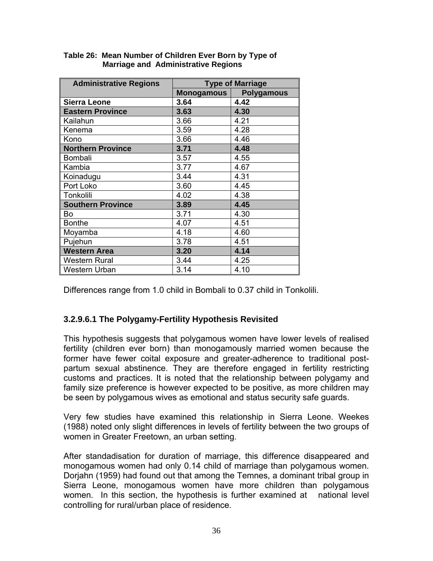| <b>Administrative Regions</b> | <b>Type of Marriage</b> |                   |  |  |
|-------------------------------|-------------------------|-------------------|--|--|
|                               | <b>Monogamous</b>       | <b>Polygamous</b> |  |  |
| <b>Sierra Leone</b>           | 3.64                    | 4.42              |  |  |
| <b>Eastern Province</b>       | 3.63                    | 4.30              |  |  |
| Kailahun                      | 3.66                    | 4.21              |  |  |
| Kenema                        | 3.59                    | 4.28              |  |  |
| Kono                          | 3.66                    | 4.46              |  |  |
| <b>Northern Province</b>      | 3.71                    | 4.48              |  |  |
| Bombali                       | 3.57                    | 4.55              |  |  |
| Kambia                        | 3.77                    | 4.67              |  |  |
| Koinadugu                     | 3.44                    | 4.31              |  |  |
| Port Loko                     | 3.60                    | 4.45              |  |  |
| Tonkolili                     | 4.02                    | 4.38              |  |  |
| <b>Southern Province</b>      | 3.89                    | 4.45              |  |  |
| Bo                            | 3.71                    | 4.30              |  |  |
| <b>Bonthe</b>                 | 4.07                    | 4.51              |  |  |
| Moyamba                       | 4.18                    | 4.60              |  |  |
| Pujehun                       | 3.78                    | 4.51              |  |  |
| <b>Western Area</b>           | 3.20                    | 4.14              |  |  |
| <b>Western Rural</b>          | 3.44                    | 4.25              |  |  |
| Western Urban                 | 3.14                    | 4.10              |  |  |

#### **Table 26: Mean Number of Children Ever Born by Type of Marriage and Administrative Regions**

Differences range from 1.0 child in Bombali to 0.37 child in Tonkolili.

#### **3.2.9.6.1 The Polygamy-Fertility Hypothesis Revisited**

This hypothesis suggests that polygamous women have lower levels of realised fertility (children ever born) than monogamously married women because the former have fewer coital exposure and greater-adherence to traditional postpartum sexual abstinence. They are therefore engaged in fertility restricting customs and practices. It is noted that the relationship between polygamy and family size preference is however expected to be positive, as more children may be seen by polygamous wives as emotional and status security safe guards.

Very few studies have examined this relationship in Sierra Leone. Weekes (1988) noted only slight differences in levels of fertility between the two groups of women in Greater Freetown, an urban setting.

After standadisation for duration of marriage, this difference disappeared and monogamous women had only 0.14 child of marriage than polygamous women. Dorjahn (1959) had found out that among the Temnes, a dominant tribal group in Sierra Leone, monogamous women have more children than polygamous women. In this section, the hypothesis is further examined at national level controlling for rural/urban place of residence.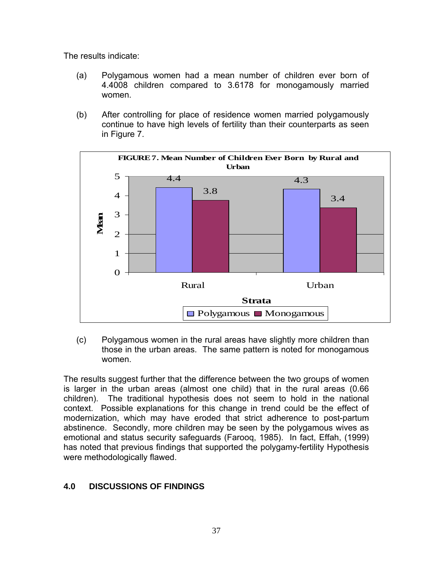The results indicate:

- (a) Polygamous women had a mean number of children ever born of 4.4008 children compared to 3.6178 for monogamously married women.
- (b) After controlling for place of residence women married polygamously continue to have high levels of fertility than their counterparts as seen in Figure 7.



(c) Polygamous women in the rural areas have slightly more children than those in the urban areas. The same pattern is noted for monogamous women.

The results suggest further that the difference between the two groups of women is larger in the urban areas (almost one child) that in the rural areas (0.66 children). The traditional hypothesis does not seem to hold in the national context. Possible explanations for this change in trend could be the effect of modernization, which may have eroded that strict adherence to post-partum abstinence. Secondly, more children may be seen by the polygamous wives as emotional and status security safeguards (Farooq, 1985). In fact, Effah, (1999) has noted that previous findings that supported the polygamy-fertility Hypothesis were methodologically flawed.

#### **4.0 DISCUSSIONS OF FINDINGS**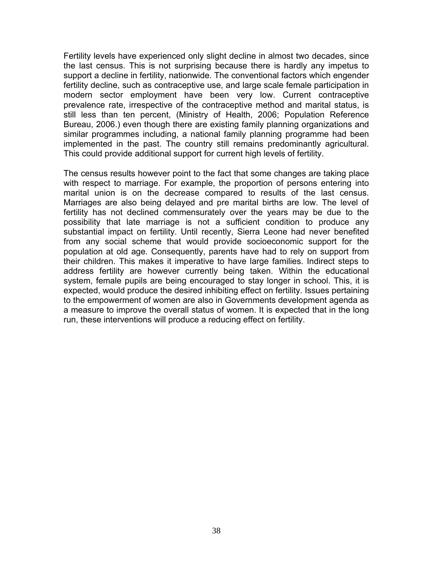Fertility levels have experienced only slight decline in almost two decades, since the last census. This is not surprising because there is hardly any impetus to support a decline in fertility, nationwide. The conventional factors which engender fertility decline, such as contraceptive use, and large scale female participation in modern sector employment have been very low. Current contraceptive prevalence rate, irrespective of the contraceptive method and marital status, is still less than ten percent, (Ministry of Health, 2006; Population Reference Bureau, 2006.) even though there are existing family planning organizations and similar programmes including, a national family planning programme had been implemented in the past. The country still remains predominantly agricultural. This could provide additional support for current high levels of fertility.

The census results however point to the fact that some changes are taking place with respect to marriage. For example, the proportion of persons entering into marital union is on the decrease compared to results of the last census. Marriages are also being delayed and pre marital births are low. The level of fertility has not declined commensurately over the years may be due to the possibility that late marriage is not a sufficient condition to produce any substantial impact on fertility. Until recently, Sierra Leone had never benefited from any social scheme that would provide socioeconomic support for the population at old age. Consequently, parents have had to rely on support from their children. This makes it imperative to have large families. Indirect steps to address fertility are however currently being taken. Within the educational system, female pupils are being encouraged to stay longer in school. This, it is expected, would produce the desired inhibiting effect on fertility. Issues pertaining to the empowerment of women are also in Governments development agenda as a measure to improve the overall status of women. It is expected that in the long run, these interventions will produce a reducing effect on fertility.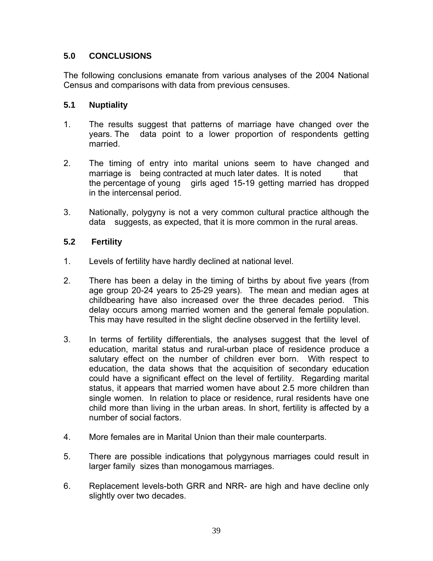#### **5.0 CONCLUSIONS**

The following conclusions emanate from various analyses of the 2004 National Census and comparisons with data from previous censuses.

#### **5.1 Nuptiality**

- 1. The results suggest that patterns of marriage have changed over the years. The data point to a lower proportion of respondents getting married.
- 2. The timing of entry into marital unions seem to have changed and marriage is being contracted at much later dates. It is noted that the percentage of young girls aged 15-19 getting married has dropped in the intercensal period.
- 3. Nationally, polygyny is not a very common cultural practice although the data suggests, as expected, that it is more common in the rural areas.

#### **5.2 Fertility**

- 1. Levels of fertility have hardly declined at national level.
- 2. There has been a delay in the timing of births by about five years (from age group 20-24 years to 25-29 years). The mean and median ages at childbearing have also increased over the three decades period. This delay occurs among married women and the general female population. This may have resulted in the slight decline observed in the fertility level.
- 3. In terms of fertility differentials, the analyses suggest that the level of education, marital status and rural-urban place of residence produce a salutary effect on the number of children ever born. With respect to education, the data shows that the acquisition of secondary education could have a significant effect on the level of fertility. Regarding marital status, it appears that married women have about 2.5 more children than single women. In relation to place or residence, rural residents have one child more than living in the urban areas. In short, fertility is affected by a number of social factors.
- 4. More females are in Marital Union than their male counterparts.
- 5. There are possible indications that polygynous marriages could result in larger family sizes than monogamous marriages.
- 6. Replacement levels-both GRR and NRR- are high and have decline only slightly over two decades.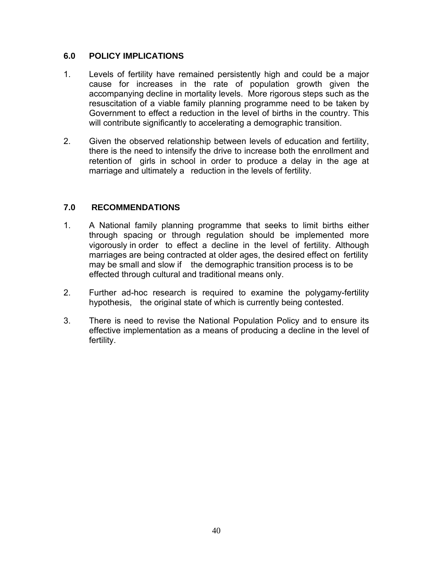#### **6.0 POLICY IMPLICATIONS**

- 1. Levels of fertility have remained persistently high and could be a major cause for increases in the rate of population growth given the accompanying decline in mortality levels. More rigorous steps such as the resuscitation of a viable family planning programme need to be taken by Government to effect a reduction in the level of births in the country. This will contribute significantly to accelerating a demographic transition.
- 2. Given the observed relationship between levels of education and fertility, there is the need to intensify the drive to increase both the enrollment and retention of girls in school in order to produce a delay in the age at marriage and ultimately a reduction in the levels of fertility.

#### **7.0 RECOMMENDATIONS**

- 1. A National family planning programme that seeks to limit births either through spacing or through regulation should be implemented more vigorously in order to effect a decline in the level of fertility. Although marriages are being contracted at older ages, the desired effect on fertility may be small and slow if the demographic transition process is to be effected through cultural and traditional means only.
- 2. Further ad-hoc research is required to examine the polygamy-fertility hypothesis, the original state of which is currently being contested.
- 3. There is need to revise the National Population Policy and to ensure its effective implementation as a means of producing a decline in the level of fertility.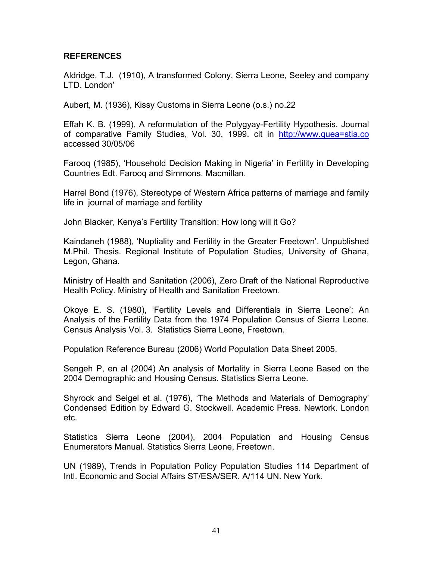#### **REFERENCES**

Aldridge, T.J. (1910), A transformed Colony, Sierra Leone, Seeley and company LTD. London'

Aubert, M. (1936), Kissy Customs in Sierra Leone (o.s.) no.22

Effah K. B. (1999), A reformulation of the Polygyay-Fertility Hypothesis. Journal of comparative Family Studies, Vol. 30, 1999. cit in http://www.quea=stia.co accessed 30/05/06

Farooq (1985), 'Household Decision Making in Nigeria' in Fertility in Developing Countries Edt. Farooq and Simmons. Macmillan.

Harrel Bond (1976), Stereotype of Western Africa patterns of marriage and family life in journal of marriage and fertility

John Blacker, Kenya's Fertility Transition: How long will it Go?

Kaindaneh (1988), 'Nuptiality and Fertility in the Greater Freetown'. Unpublished M.Phil. Thesis. Regional Institute of Population Studies, University of Ghana, Legon, Ghana.

Ministry of Health and Sanitation (2006), Zero Draft of the National Reproductive Health Policy. Ministry of Health and Sanitation Freetown.

Okoye E. S. (1980), 'Fertility Levels and Differentials in Sierra Leone': An Analysis of the Fertility Data from the 1974 Population Census of Sierra Leone. Census Analysis Vol. 3. Statistics Sierra Leone, Freetown.

Population Reference Bureau (2006) World Population Data Sheet 2005.

Sengeh P, en al (2004) An analysis of Mortality in Sierra Leone Based on the 2004 Demographic and Housing Census. Statistics Sierra Leone.

Shyrock and Seigel et al. (1976), 'The Methods and Materials of Demography' Condensed Edition by Edward G. Stockwell. Academic Press. Newtork. London etc.

Statistics Sierra Leone (2004), 2004 Population and Housing Census Enumerators Manual. Statistics Sierra Leone, Freetown.

UN (1989), Trends in Population Policy Population Studies 114 Department of Intl. Economic and Social Affairs ST/ESA/SER. A/114 UN. New York.